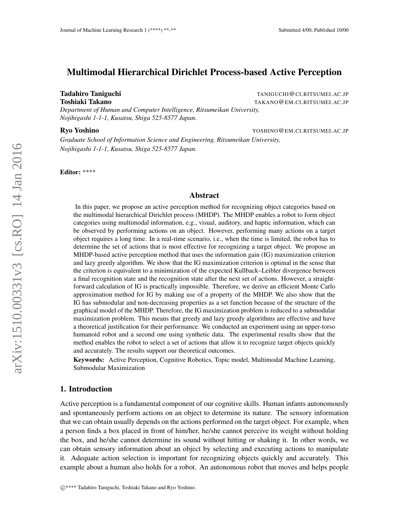# Multimodal Hierarchical Dirichlet Process-based Active Perception

**Tadahiro Taniguchi** Taniguchi Taniguchi Taniguchi Taniguchi Taniguchi Taniguchi Taniguchi Taniguchi Taniguchi Tan Toshiaki Takano TAKANO@EM.CI.RITSUMEI.AC.JP

*Department of Human and Computer Intelligence, Ritsumeikan University, Nojihigashi 1-1-1, Kusatsu, Shiga 525-8577 Japan.*

Ryo Yoshino YOSHINO@EM.CI.RITSUMEI.AC.JP

*Graduate School of Information Science and Engineering, Ritsumeikan University, Nojihigashi 1-1-1, Kusatsu, Shiga 525-8577 Japan.*

Editor: \*\*\*\*

#### Abstract

In this paper, we propose an active perception method for recognizing object categories based on the multimodal hierarchical Dirichlet process (MHDP). The MHDP enables a robot to form object categories using multimodal information, e.g., visual, auditory, and haptic information, which can be observed by performing actions on an object. However, performing many actions on a target object requires a long time. In a real-time scenario, i.e., when the time is limited, the robot has to determine the set of actions that is most effective for recognizing a target object. We propose an MHDP-based active perception method that uses the information gain (IG) maximization criterion and lazy greedy algorithm. We show that the IG maximization criterion is optimal in the sense that the criterion is equivalent to a minimization of the expected Kullback–Leibler divergence between a final recognition state and the recognition state after the next set of actions. However, a straightforward calculation of IG is practically impossible. Therefore, we derive an efficient Monte Carlo approximation method for IG by making use of a property of the MHDP. We also show that the IG has submodular and non-decreasing properties as a set function because of the structure of the graphical model of the MHDP. Therefore, the IG maximization problem is reduced to a submodular maximization problem. This means that greedy and lazy greedy algorithms are effective and have a theoretical justification for their performance. We conducted an experiment using an upper-torso humanoid robot and a second one using synthetic data. The experimental results show that the method enables the robot to select a set of actions that allow it to recognize target objects quickly and accurately. The results support our theoretical outcomes.

Keywords: Active Perception, Cognitive Robotics, Topic model, Multimodal Machine Learning, Submodular Maximization

## 1. Introduction

Active perception is a fundamental component of our cognitive skills. Human infants autonomously and spontaneously perform actions on an object to determine its nature. The sensory information that we can obtain usually depends on the actions performed on the target object. For example, when a person finds a box placed in front of him/her, he/she cannot perceive its weight without holding the box, and he/she cannot determine its sound without hitting or shaking it. In other words, we can obtain sensory information about an object by selecting and executing actions to manipulate it. Adequate action selection is important for recognizing objects quickly and accurately. This example about a human also holds for a robot. An autonomous robot that moves and helps people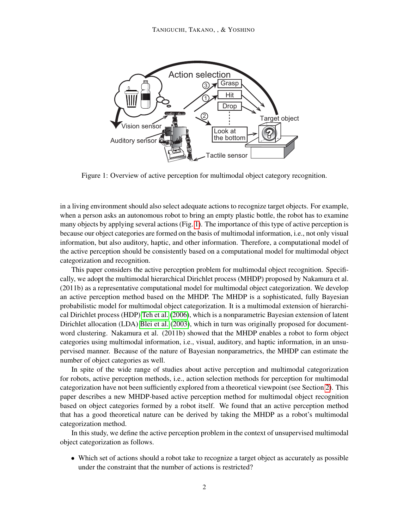

<span id="page-1-0"></span>Figure 1: Overview of active perception for multimodal object category recognition.

in a living environment should also select adequate actions to recognize target objects. For example, when a person asks an autonomous robot to bring an empty plastic bottle, the robot has to examine many objects by applying several actions (Fig. [1\)](#page-1-0). The importance of this type of active perception is because our object categories are formed on the basis of multimodal information, i.e., not only visual information, but also auditory, haptic, and other information. Therefore, a computational model of the active perception should be consistently based on a computational model for multimodal object categorization and recognition.

This paper considers the active perception problem for multimodal object recognition. Specifically, we adopt the multimodal hierarchical Dirichlet process (MHDP) proposed by Nakamura et al. (2011b) as a representative computational model for multimodal object categorization. We develop an active perception method based on the MHDP. The MHDP is a sophisticated, fully Bayesian probabilistic model for multimodal object categorization. It is a multimodal extension of hierarchical Dirichlet process (HDP) [Teh et al.](#page-31-0) [\(2006\)](#page-31-0), which is a nonparametric Bayesian extension of latent Dirichlet allocation (LDA) [Blei et al.](#page-28-0) [\(2003\)](#page-28-0), which in turn was originally proposed for documentword clustering. Nakamura et al. (2011b) showed that the MHDP enables a robot to form object categories using multimodal information, i.e., visual, auditory, and haptic information, in an unsupervised manner. Because of the nature of Bayesian nonparametrics, the MHDP can estimate the number of object categories as well.

In spite of the wide range of studies about active perception and multimodal categorization for robots, active perception methods, i.e., action selection methods for perception for multimodal categorization have not been sufficiently explored from a theoretical viewpoint (see Section [2\)](#page-2-0). This paper describes a new MHDP-based active perception method for multimodal object recognition based on object categories formed by a robot itself. We found that an active perception method that has a good theoretical nature can be derived by taking the MHDP as a robot's multimodal categorization method.

In this study, we define the active perception problem in the context of unsupervised multimodal object categorization as follows.

• Which set of actions should a robot take to recognize a target object as accurately as possible under the constraint that the number of actions is restricted?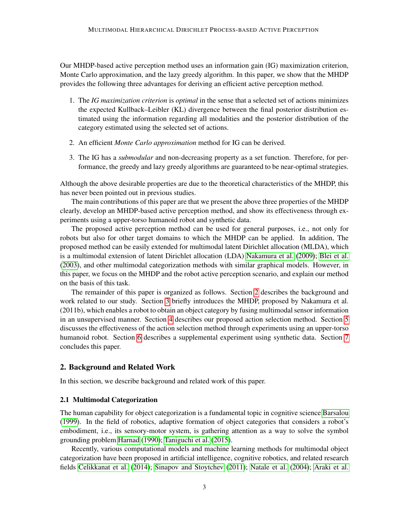Our MHDP-based active perception method uses an information gain (IG) maximization criterion, Monte Carlo approximation, and the lazy greedy algorithm. In this paper, we show that the MHDP provides the following three advantages for deriving an efficient active perception method.

- 1. The *IG maximization criterion* is *optimal* in the sense that a selected set of actions minimizes the expected Kullback–Leibler (KL) divergence between the final posterior distribution estimated using the information regarding all modalities and the posterior distribution of the category estimated using the selected set of actions.
- 2. An efficient *Monte Carlo approximation* method for IG can be derived.
- 3. The IG has a *submodular* and non-decreasing property as a set function. Therefore, for performance, the greedy and lazy greedy algorithms are guaranteed to be near-optimal strategies.

Although the above desirable properties are due to the theoretical characteristics of the MHDP, this has never been pointed out in previous studies.

The main contributions of this paper are that we present the above three properties of the MHDP clearly, develop an MHDP-based active perception method, and show its effectiveness through experiments using a upper-torso humanoid robot and synthetic data.

The proposed active perception method can be used for general purposes, i.e., not only for robots but also for other target domains to which the MHDP can be applied. In addition, The proposed method can be easily extended for multimodal latent Dirichlet allocation (MLDA), which is a multimodal extension of latent Dirichlet allocation (LDA) [Nakamura et al.](#page-29-0) [\(2009\)](#page-29-0); [Blei et al.](#page-28-0) [\(2003\)](#page-28-0), and other multimodal categorization methods with similar graphical models. However, in this paper, we focus on the MHDP and the robot active perception scenario, and explain our method on the basis of this task.

The remainder of this paper is organized as follows. Section [2](#page-2-0) describes the background and work related to our study. Section [3](#page-5-0) briefly introduces the MHDP, proposed by Nakamura et al. (2011b), which enables a robot to obtain an object category by fusing multimodal sensor information in an unsupervised manner. Section [4](#page-8-0) describes our proposed action selection method. Section [5](#page-13-0) discusses the effectiveness of the action selection method through experiments using an upper-torso humanoid robot. Section [6](#page-22-0) describes a supplemental experiment using synthetic data. Section [7](#page-25-0) concludes this paper.

# <span id="page-2-0"></span>2. Background and Related Work

In this section, we describe background and related work of this paper.

## 2.1 Multimodal Categorization

The human capability for object categorization is a fundamental topic in cognitive science [Barsalou](#page-28-1) [\(1999\)](#page-28-1). In the field of robotics, adaptive formation of object categories that considers a robot's embodiment, i.e., its sensory-motor system, is gathering attention as a way to solve the symbol grounding problem [Harnad](#page-29-1) [\(1990\)](#page-29-1); [Taniguchi et al.](#page-31-1) [\(2015\)](#page-31-1).

Recently, various computational models and machine learning methods for multimodal object categorization have been proposed in artificial intelligence, cognitive robotics, and related research fields [Celikkanat et al.](#page-28-2) [\(2014\)](#page-28-2); [Sinapov and Stoytchev](#page-30-0) [\(2011\)](#page-30-0); [Natale et al.](#page-30-1) [\(2004\)](#page-30-1); [Araki et al.](#page-27-0)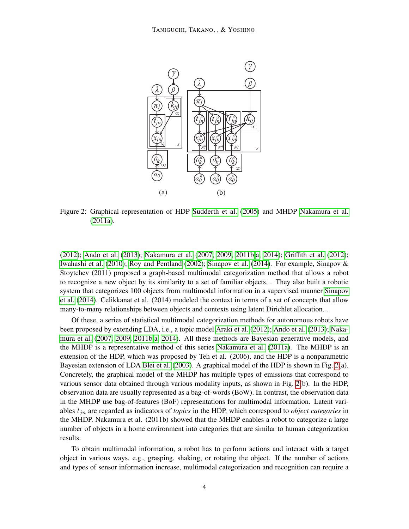

<span id="page-3-0"></span>Figure 2: Graphical representation of HDP [Sudderth et al.](#page-31-2) [\(2005\)](#page-31-2) and MHDP [Nakamura et al.](#page-29-2) [\(2011a\)](#page-29-2).

[\(2012\)](#page-27-0); [Ando et al.](#page-27-1) [\(2013\)](#page-27-1); [Nakamura et al.](#page-29-3) [\(2007,](#page-29-3) [2009,](#page-29-0) [2011b](#page-30-2)[,a,](#page-29-2) [2014\)](#page-30-3); [Griffith et al.](#page-28-3) [\(2012\)](#page-28-3); [Iwahashi et al.](#page-29-4) [\(2010\)](#page-29-4); [Roy and Pentland](#page-30-4) [\(2002\)](#page-30-4); [Sinapov et al.](#page-31-3) [\(2014\)](#page-31-3). For example, Sinapov & Stoytchev (2011) proposed a graph-based multimodal categorization method that allows a robot to recognize a new object by its similarity to a set of familiar objects. . They also built a robotic system that categorizes 100 objects from multimodal information in a supervised manner [Sinapov](#page-31-3) [et al.](#page-31-3) [\(2014\)](#page-31-3). Celikkanat et al. (2014) modeled the context in terms of a set of concepts that allow many-to-many relationships between objects and contexts using latent Dirichlet allocation. .

Of these, a series of statistical multimodal categorization methods for autonomous robots have been proposed by extending LDA, i.e., a topic model [Araki et al.](#page-27-0) [\(2012\)](#page-27-0); [Ando et al.](#page-27-1) [\(2013\)](#page-27-1); [Naka](#page-29-3)[mura et al.](#page-29-3) [\(2007,](#page-29-3) [2009,](#page-29-0) [2011b](#page-30-2)[,a,](#page-29-2) [2014\)](#page-30-3). All these methods are Bayesian generative models, and the MHDP is a representative method of this series [Nakamura et al.](#page-29-2) [\(2011a\)](#page-29-2). The MHDP is an extension of the HDP, which was proposed by Teh et al. (2006), and the HDP is a nonparametric Bayesian extension of LDA [Blei et al.](#page-28-0) [\(2003\)](#page-28-0). A graphical model of the HDP is shown in Fig. [2\(](#page-3-0)a). Concretely, the graphical model of the MHDP has multiple types of emissions that correspond to various sensor data obtained through various modality inputs, as shown in Fig. [2\(](#page-3-0)b). In the HDP, observation data are usually represented as a bag-of-words (BoW). In contrast, the observation data in the MHDP use bag-of-features (BoF) representations for multimodal information. Latent variables tjn are regarded as indicators of *topics* in the HDP, which correspond to *object categories* in the MHDP. Nakamura et al. (2011b) showed that the MHDP enables a robot to categorize a large number of objects in a home environment into categories that are similar to human categorization results.

To obtain multimodal information, a robot has to perform actions and interact with a target object in various ways, e.g., grasping, shaking, or rotating the object. If the number of actions and types of sensor information increase, multimodal categorization and recognition can require a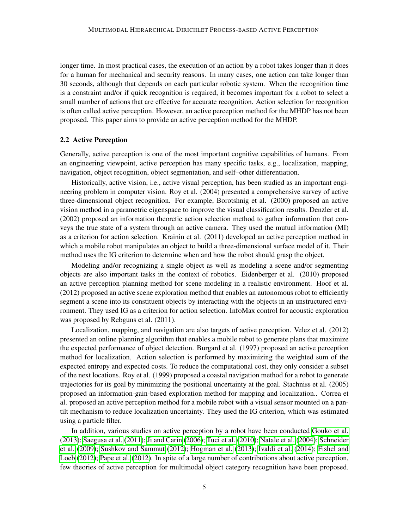longer time. In most practical cases, the execution of an action by a robot takes longer than it does for a human for mechanical and security reasons. In many cases, one action can take longer than 30 seconds, although that depends on each particular robotic system. When the recognition time is a constraint and/or if quick recognition is required, it becomes important for a robot to select a small number of actions that are effective for accurate recognition. Action selection for recognition is often called active perception. However, an active perception method for the MHDP has not been proposed. This paper aims to provide an active perception method for the MHDP.

## 2.2 Active Perception

Generally, active perception is one of the most important cognitive capabilities of humans. From an engineering viewpoint, active perception has many specific tasks, e.g., localization, mapping, navigation, object recognition, object segmentation, and self–other differentiation.

Historically, active vision, i.e., active visual perception, has been studied as an important engineering problem in computer vision. Roy et al. (2004) presented a comprehensive survey of active three-dimensional object recognition. For example, Borotshnig et al. (2000) proposed an active vision method in a parametric eigenspace to improve the visual classification results. Denzler et al. (2002) proposed an information theoretic action selection method to gather information that conveys the true state of a system through an active camera. They used the mutual information (MI) as a criterion for action selection. Krainin et al. (2011) developed an active perception method in which a mobile robot manipulates an object to build a three-dimensional surface model of it. Their method uses the IG criterion to determine when and how the robot should grasp the object.

Modeling and/or recognizing a single object as well as modeling a scene and/or segmenting objects are also important tasks in the context of robotics. Eidenberger et al. (2010) proposed an active perception planning method for scene modeling in a realistic environment. Hoof et al. (2012) proposed an active scene exploration method that enables an autonomous robot to efficiently segment a scene into its constituent objects by interacting with the objects in an unstructured environment. They used IG as a criterion for action selection. InfoMax control for acoustic exploration was proposed by Rebguns et al. (2011).

Localization, mapping, and navigation are also targets of active perception. Velez et al. (2012) presented an online planning algorithm that enables a mobile robot to generate plans that maximize the expected performance of object detection. Burgard et al. (1997) proposed an active perception method for localization. Action selection is performed by maximizing the weighted sum of the expected entropy and expected costs. To reduce the computational cost, they only consider a subset of the next locations. Roy et al. (1999) proposed a coastal navigation method for a robot to generate trajectories for its goal by minimizing the positional uncertainty at the goal. Stachniss et al. (2005) proposed an information-gain-based exploration method for mapping and localization.. Correa et al. proposed an active perception method for a mobile robot with a visual sensor mounted on a pantilt mechanism to reduce localization uncertainty. They used the IG criterion, which was estimated using a particle filter.

In addition, various studies on active perception by a robot have been conducted [Gouko et al.](#page-28-4) [\(2013\)](#page-28-4); [Saegusa et al.](#page-30-5) [\(2011\)](#page-30-5); [Ji and Carin](#page-29-5) [\(2006\)](#page-29-5); [Tuci et al.](#page-31-4) [\(2010\)](#page-31-4); [Natale et al.](#page-30-1) [\(2004\)](#page-30-1); [Schneider](#page-30-6) [et al.](#page-30-6) [\(2009\)](#page-30-6); [Sushkov and Sammut](#page-31-5) [\(2012\)](#page-31-5); [Hogman et al.](#page-29-6) [\(2013\)](#page-29-6); [Ivaldi et al.](#page-29-7) [\(2014\)](#page-29-7); [Fishel and](#page-28-5) [Loeb](#page-28-5) [\(2012\)](#page-28-5); [Pape et al.](#page-30-7) [\(2012\)](#page-30-7). In spite of a large number of contributions about active perception, few theories of active perception for multimodal object category recognition have been proposed.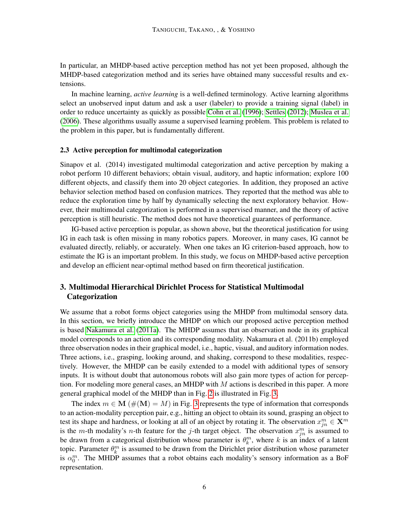In particular, an MHDP-based active perception method has not yet been proposed, although the MHDP-based categorization method and its series have obtained many successful results and extensions.

In machine learning, *active learning* is a well-defined terminology. Active learning algorithms select an unobserved input datum and ask a user (labeler) to provide a training signal (label) in order to reduce uncertainty as quickly as possible [Cohn et al.](#page-28-6) [\(1996\)](#page-28-6); [Settles](#page-30-8) [\(2012\)](#page-30-8); [Muslea et al.](#page-29-8) [\(2006\)](#page-29-8). These algorithms usually assume a supervised learning problem. This problem is related to the problem in this paper, but is fundamentally different.

## 2.3 Active perception for multimodal categorization

Sinapov et al. (2014) investigated multimodal categorization and active perception by making a robot perform 10 different behaviors; obtain visual, auditory, and haptic information; explore 100 different objects, and classify them into 20 object categories. In addition, they proposed an active behavior selection method based on confusion matrices. They reported that the method was able to reduce the exploration time by half by dynamically selecting the next exploratory behavior. However, their multimodal categorization is performed in a supervised manner, and the theory of active perception is still heuristic. The method does not have theoretical guarantees of performance.

IG-based active perception is popular, as shown above, but the theoretical justification for using IG in each task is often missing in many robotics papers. Moreover, in many cases, IG cannot be evaluated directly, reliably, or accurately. When one takes an IG criterion-based approach, how to estimate the IG is an important problem. In this study, we focus on MHDP-based active perception and develop an efficient near-optimal method based on firm theoretical justification.

# <span id="page-5-0"></span>3. Multimodal Hierarchical Dirichlet Process for Statistical Multimodal Categorization

We assume that a robot forms object categories using the MHDP from multimodal sensory data. In this section, we briefly introduce the MHDP on which our proposed active perception method is based [Nakamura et al.](#page-29-2) [\(2011a\)](#page-29-2). The MHDP assumes that an observation node in its graphical model corresponds to an action and its corresponding modality. Nakamura et al. (2011b) employed three observation nodes in their graphical model, i.e., haptic, visual, and auditory information nodes. Three actions, i.e., grasping, looking around, and shaking, correspond to these modalities, respectively. However, the MHDP can be easily extended to a model with additional types of sensory inputs. It is without doubt that autonomous robots will also gain more types of action for perception. For modeling more general cases, an MHDP with  $M$  actions is described in this paper. A more general graphical model of the MHDP than in Fig. [2](#page-3-0) is illustrated in Fig. [3.](#page-6-0)

The index  $m \in M$  ( $\#(M) = M$ ) in Fig. [3](#page-6-0) represents the type of information that corresponds to an action-modality perception pair, e.g., hitting an object to obtain its sound, grasping an object to test its shape and hardness, or looking at all of an object by rotating it. The observation  $x_{jn}^m \in \mathbf{X}^m$ is the m-th modality's n-th feature for the j-th target object. The observation  $x_{jn}^{m}$  is assumed to be drawn from a categorical distribution whose parameter is  $\theta_k^m$ , where k is an index of a latent topic. Parameter  $\theta_k^m$  is assumed to be drawn from the Dirichlet prior distribution whose parameter is  $\alpha_0^m$ . The MHDP assumes that a robot obtains each modality's sensory information as a BoF representation.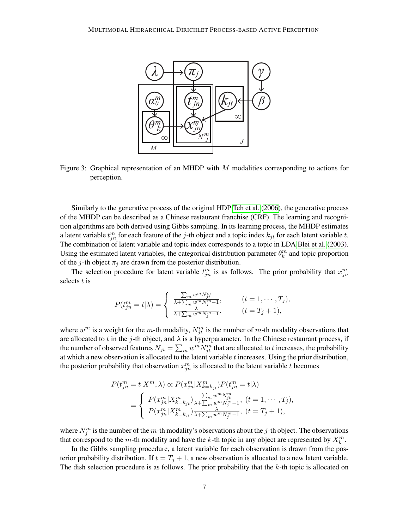

<span id="page-6-0"></span>Figure 3: Graphical representation of an MHDP with  $M$  modalities corresponding to actions for perception.

Similarly to the generative process of the original HDP [Teh et al.](#page-31-0) [\(2006\)](#page-31-0), the generative process of the MHDP can be described as a Chinese restaurant franchise (CRF). The learning and recognition algorithms are both derived using Gibbs sampling. In its learning process, the MHDP estimates a latent variable  $t_{jn}^m$  for each feature of the j-th object and a topic index  $k_{jt}$  for each latent variable t. The combination of latent variable and topic index corresponds to a topic in LDA [Blei et al.](#page-28-0) [\(2003\)](#page-28-0). Using the estimated latent variables, the categorical distribution parameter  $\theta_k^m$  and topic proportion of the j-th object  $\pi_j$  are drawn from the posterior distribution.

The selection procedure for latent variable  $t_{jn}^m$  is as follows. The prior probability that  $x_{jn}^m$ selects  $t$  is

$$
P(t_{jn}^m = t | \lambda) = \begin{cases} \frac{\sum_m w^m N_{ji}^m}{\lambda + \sum_m w^m N_j^m - 1}, & (t = 1, \cdots, T_j), \\ \frac{\lambda}{\lambda + \sum_m w^m N_j^m - 1}, & (t = T_j + 1), \end{cases}
$$

where  $w^m$  is a weight for the m-th modality,  $N_{jt}^m$  is the number of m-th modality observations that are allocated to t in the j-th object, and  $\lambda$  is a hyperparameter. In the Chinese restaurant process, if the number of observed features  $N_{jt} = \sum_m w^m N_{jt}^m$  that are allocated to t increases, the probability at which a new observation is allocated to the latent variable  $t$  increases. Using the prior distribution, the posterior probability that observation  $x_{jn}^{m}$  is allocated to the latent variable t becomes

$$
P(t_{jn}^{m} = t | X^{m}, \lambda) \propto P(x_{jn}^{m} | X_{k=k_{jt}}^{m}) P(t_{jn}^{m} = t | \lambda)
$$
  
= 
$$
\begin{cases} P(x_{jn}^{m} | X_{k=k_{jt}}^{m}) \frac{\sum_{m} w^{m} N_{jt}^{m}}{\lambda + \sum_{m} w^{m} N_{j}^{m-1}}, (t = 1, \cdots, T_{j}), \\ P(x_{jn}^{m} | X_{k=k_{jt}}^{m}) \frac{\lambda}{\lambda + \sum_{m} w^{m} N_{j}^{m-1}}, (t = T_{j} + 1), \end{cases}
$$

where  $N_j^m$  is the number of the m-th modality's observations about the j-th object. The observations that correspond to the m-th modality and have the k-th topic in any object are represented by  $X_k^m$ .

In the Gibbs sampling procedure, a latent variable for each observation is drawn from the posterior probability distribution. If  $t = T_j + 1$ , a new observation is allocated to a new latent variable. The dish selection procedure is as follows. The prior probability that the  $k$ -th topic is allocated on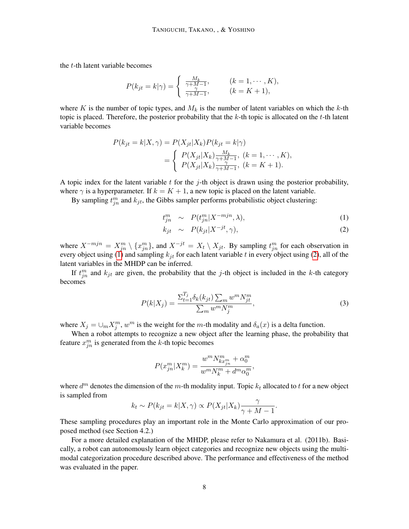the t-th latent variable becomes

$$
P(k_{jt} = k|\gamma) = \begin{cases} \frac{M_k}{\gamma + M - 1}, & (k = 1, \cdots, K), \\ \frac{\gamma}{\gamma + M - 1}, & (k = K + 1), \end{cases}
$$

where K is the number of topic types, and  $M_k$  is the number of latent variables on which the k-th topic is placed. Therefore, the posterior probability that the  $k$ -th topic is allocated on the  $t$ -th latent variable becomes

$$
P(k_{jt} = k|X, \gamma) = P(X_{jt}|X_k)P(k_{jt} = k|\gamma)
$$
  
= 
$$
\begin{cases} P(X_{jt}|X_k) \frac{M_k}{\gamma + M - 1}, (k = 1, \cdots, K), \\ P(X_{jt}|X_k) \frac{\gamma}{\gamma + M - 1}, (k = K + 1). \end{cases}
$$

A topic index for the latent variable  $t$  for the j-th object is drawn using the posterior probability, where  $\gamma$  is a hyperparameter. If  $k = K + 1$ , a new topic is placed on the latent variable.

By sampling  $t_{jn}^m$  and  $k_{jt}$ , the Gibbs sampler performs probabilistic object clustering:

$$
t_{jn}^m \sim P(t_{jn}^m | X^{-mjn}, \lambda), \tag{1}
$$

<span id="page-7-0"></span>
$$
k_{jt} \sim P(k_{jt} | X^{-jt}, \gamma), \tag{2}
$$

where  $X^{-mjn} = X_{jn}^m \setminus \{x_{jn}^m\}$ , and  $X^{-jt} = X_t \setminus X_{jt}$ . By sampling  $t_{jn}^m$  for each observation in every object using [\(1\)](#page-7-0) and sampling  $k_{it}$  for each latent variable t in every object using [\(2\)](#page-7-0), all of the latent variables in the MHDP can be inferred.

If  $t_{jn}^m$  and  $k_{jt}$  are given, the probability that the j-th object is included in the k-th category becomes

<span id="page-7-1"></span>
$$
P(k|X_j) = \frac{\sum_{t=1}^{T_j} \delta_k(k_{jt}) \sum_m w^m N_{jt}^m}{\sum_m w^m N_j^m},
$$
\n(3)

where  $X_j = \bigcup_m X_j^m$ ,  $w^m$  is the weight for the m-th modality and  $\delta_a(x)$  is a delta function.

When a robot attempts to recognize a new object after the learning phase, the probability that feature  $x_{jn}^{m}$  is generated from the k-th topic becomes

$$
P(x_{jn}^{m}|X_{k}^{m}) = \frac{w^{m}N_{k x_{jn}^{m}}^{m} + \alpha_{0}^{m}}{w^{m}N_{k}^{m} + d^{m}\alpha_{0}^{m}},
$$

where  $d^m$  denotes the dimension of the m-th modality input. Topic  $k_t$  allocated to t for a new object is sampled from

$$
k_t \sim P(k_{jt} = k|X, \gamma) \propto P(X_{jt}|X_k) \frac{\gamma}{\gamma + M - 1}.
$$

These sampling procedures play an important role in the Monte Carlo approximation of our proposed method (see Section 4.2.)

For a more detailed explanation of the MHDP, please refer to Nakamura et al. (2011b). Basically, a robot can autonomously learn object categories and recognize new objects using the multimodal categorization procedure described above. The performance and effectiveness of the method was evaluated in the paper.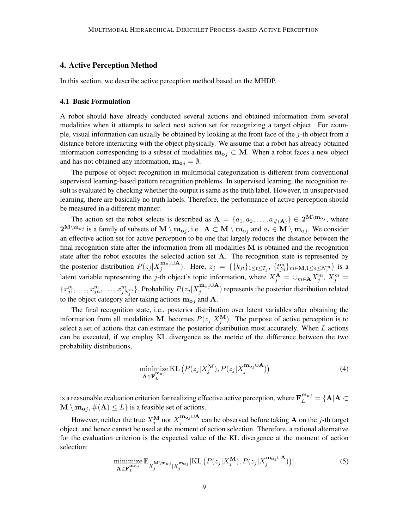# <span id="page-8-0"></span>4. Active Perception Method

In this section, we describe active perception method based on the MHDP.

#### 4.1 Basic Formulation

A robot should have already conducted several actions and obtained information from several modalities when it attempts to select next action set for recognizing a target object. For example, visual information can usually be obtained by looking at the front face of the  $j$ -th object from a distance before interacting with the object physically. We assume that a robot has already obtained information corresponding to a subset of modalities  $m_{0j} \subset M$ . When a robot faces a new object and has not obtained any information,  $m_{o_i} = \emptyset$ .

The purpose of object recognition in multimodal categorization is different from conventional supervised learning-based pattern recognition problems. In supervised learning, the recognition result is evaluated by checking whether the output is same as the truth label. However, in unsupervised learning, there are basically no truth labels. Therefore, the performance of active perception should be measured in a different manner.

The action set the robot selects is described as  $A = \{a_1, a_2, \ldots, a_{\#(A)}\} \in 2^{M \setminus m_{oj}}$ , where  $2^{\mathbf{M}\setminus \mathbf{m_{o}}_j}$  is a family of subsets of  $\mathbf{M}\setminus \mathbf{m_{o}}_j$ , i.e.,  $\mathbf{A}\subset \mathbf{M}\setminus \mathbf{m_{o}}_j$  and  $a_i\in \mathbf{M}\setminus \mathbf{m_{o}}_j$ . We consider an effective action set for active perception to be one that largely reduces the distance between the final recognition state after the information from all modalities  $M$  is obtained and the recognition state after the robot executes the selected action set A. The recognition state is represented by the posterior distribution  $P(z_j | X_j^{\mathbf{m}_{\alpha_j} \cup \mathbf{A}})$  $j^{(m_{0j}\cup A)}$ . Here,  $z_j = \{\{k_{jt}\}_{1\leq t\leq T_j}, \{t_{jn}^{m}\}_{m\in M, 1\leq n\leq N_j^m}\}$  is a latent variable representing the j-th object's topic information, where  $X_j^{\mathbf{A}} = \cup_{m \in \mathbf{A}} X_j^m$ ,  $X_j^m = \emptyset$  $\{x_{j1}^m,\ldots,x_{jn}^m,\ldots,x_{jN_j^m}^m\}$ . Probability  $P(z_j|X_j^{{\bf m}_{{\mathbf{o}} j}\cup {\bf A}})$  $j_j^{\text{in}}$ ) represents the posterior distribution related to the object category after taking actions  $m_{0i}$  and A.

The final recognition state, i.e., posterior distribution over latent variables after obtaining the information from all modalities M, becomes  $P(z_j | X_j^{\text{M}})$ . The purpose of active perception is to select a set of actions that can estimate the posterior distribution most accurately. When  $L$  actions can be executed, if we employ KL divergence as the metric of the difference between the two probability distributions,

<span id="page-8-1"></span>
$$
\underset{\mathbf{A}\in\mathbf{F}_{L}^{\mathbf{m}_{\mathbf{o}_j}}}{\text{minimize KL}}\left(P(z_j|X_j^{\mathbf{M}}), P(z_j|X_j^{\mathbf{m}_{\mathbf{o}_j}\cup\mathbf{A}})\right) \tag{4}
$$

is a reasonable evaluation criterion for realizing effective active perception, where  $\textbf{F}^{\textbf{m}_{\textbf{o}j}}_{L}=\{\textbf{A}|\textbf{A}\subset$  $\mathbf{M} \setminus \mathbf{m}_{\mathbf{o}j}$ ,  $\#(\mathbf{A}) \leq L$  is a feasible set of actions.

However, neither the true  $X_j^{\mathbf{M}}$  nor  $X_j^{\mathbf{m}_{\mathbf{o}j} \cup \mathbf{A}}$  $j_j^{\text{m}}$  can be observed before taking **A** on the j-th target object, and hence cannot be used at the moment of action selection. Therefore, a rational alternative for the evaluation criterion is the expected value of the KL divergence at the moment of action selection:

$$
\underset{\mathbf{A}\in\mathbf{F}_{L}^{\mathbf{m}_{\mathbf{o}j}}}\n\text{minimize}\ \mathbb{E}_{X_{j}^{\mathbf{M}\backslash\mathbf{m}_{\mathbf{o}j}}|X_{j}^{\mathbf{m}_{\mathbf{o}j}}}\n\text{[KL}\left(P(z_{j}|X_{j}^{\mathbf{M}}),P(z_{j}|X_{j}^{\mathbf{m}_{\mathbf{o}j}\cup\mathbf{A}})\right)].\n\tag{5}
$$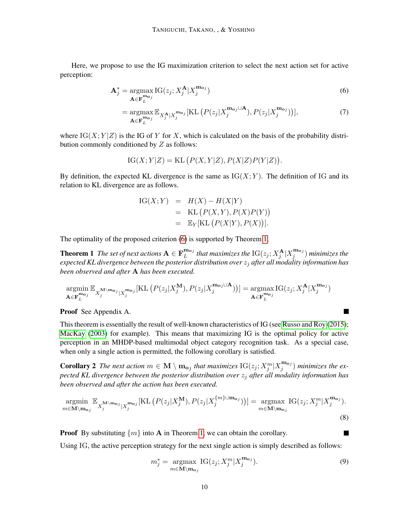Here, we propose to use the IG maximization criterion to select the next action set for active perception:

$$
\mathbf{A}_{j}^{*} = \underset{\mathbf{A} \in \mathbf{F}_{L}^{\mathbf{m}_{oj}}}{\operatorname{argmax}} \mathrm{IG}(z_{j}; X_{j}^{\mathbf{A}} | X_{j}^{\mathbf{m}_{oj}})
$$
(6)

<span id="page-9-0"></span>
$$
= \underset{\mathbf{A} \in \mathbf{F}_{L}^{\mathbf{m}_{\mathbf{o}j}}}{\operatorname{argmax}} \mathbb{E}_{X_{j}^{\mathbf{A}} | X_{j}^{\mathbf{m}_{\mathbf{o}j}}}[KL\left(P(z_{j} | X_{j}^{\mathbf{m}_{\mathbf{o}j} \cup \mathbf{A}}), P(z_{j} | X_{j}^{\mathbf{m}_{\mathbf{o}j}})\right)],
$$
\n(7)

where  $IG(X; Y|Z)$  is the IG of Y for X, which is calculated on the basis of the probability distribution commonly conditioned by Z as follows:

$$
IG(X; Y|Z) = KL(P(X,Y|Z), P(X|Z)P(Y|Z)).
$$

By definition, the expected KL divergence is the same as  $IG(X; Y)$ . The definition of IG and its relation to KL divergence are as follows.

IG(X;Y) = 
$$
H(X) - H(X|Y)
$$
  
\n= KL (P(X,Y), P(X)P(Y))  
\n=  $\mathbb{E}_Y[\text{KL}(P(X|Y), P(X))].$ 

The optimality of the proposed criterion [\(6\)](#page-9-0) is supported by Theorem [1.](#page-9-1)

**Theorem 1** The set of next actions  $A \in \mathbf{F}_L^{\mathbf{m}_{\mathbf{o}_j}}$  $_{L}^{\mathbf{m_{o}}_{j}}$  that maximizes the  $\text{IG}(z_{j}; X_{j}^{\mathbf{A}} | X_{j}^{\mathbf{m_{o}}_{j}})$  $j^{(\textbf{m}_{\textbf{o}j})}$  minimizes the *expected KL divergence between the posterior distribution over* z<sup>j</sup> *after all modality information has been observed and after* A *has been executed.*

$$
\underset{\mathbf{A}\in\mathbf{F}_{L}^{\mathbf{m_{o}}j}}{\operatorname{argmin}}\mathbb{E}_{X_{j}^{\mathbf{M}\backslash\mathbf{m_{o}}j}|X_{j}^{\mathbf{m_{o}}j}}[\mathrm{KL}\left(P(z_{j}|X_{j}^{\mathbf{M}}),P(z_{j}|X_{j}^{\mathbf{m_{o}}j\cup\mathbf{A}})\right)] = \underset{\mathbf{A}\in\mathbf{F}_{L}^{\mathbf{m_{o}}j}}{\operatorname{argmax}}\mathrm{IG}(z_{j};X_{j}^{\mathbf{A}}|X_{j}^{\mathbf{m_{o}}j})
$$

Proof See Appendix A.

This theorem is essentially the result of well-known characteristics of IG (see [Russo and Roy](#page-30-9) [\(2015\)](#page-30-9); [MacKay](#page-29-9) [\(2003\)](#page-29-9) for example). This means that maximizing IG is the optimal policy for active perception in an MHDP-based multimodal object category recognition task. As a special case, when only a single action is permitted, the following corollary is satisfied.

**Corollary 2** The next action  $m \in \mathbf{M} \setminus \mathbf{m}_{oj}$  that maximizes  $IG(z_j; X_j^m | X_j^{\mathbf{m}_{oj}})$  $j^{(m_0 j)}$  *minimizes the expected KL divergence between the posterior distribution over* z<sup>j</sup> *after all modality information has been observed and after the action has been executed.*

$$
\underset{m \in \mathbf{M} \setminus \mathbf{m}_{\mathbf{o}_j}}{\operatorname{argmin}} \mathbb{E}_{X_j^{\mathbf{M} \setminus \mathbf{m}_{\mathbf{o}_j}} | X_j^{\mathbf{m}_{\mathbf{o}_j}} | \text{KL}\left(P(z_j | X_j^{\mathbf{M}}), P(z_j | X_j^{\{m\} \cup \mathbf{m}_{\mathbf{o}_j}\})\right)| = \underset{m \in \mathbf{M} \setminus \mathbf{m}_{\mathbf{o}_j}}{\operatorname{argmax}} \text{IG}(z_j; X_j^m | X_j^{\mathbf{m}_{\mathbf{o}_j}}).
$$
\n(8)

**Proof** By substituting  $\{m\}$  into **A** in Theorem [1,](#page-9-1) we can obtain the corollary.

Using IG, the active perception strategy for the next single action is simply described as follows:

<span id="page-9-2"></span>
$$
m_j^* = \underset{m \in \mathbf{M} \setminus \mathbf{m}_{\mathbf{o}_j}}{\operatorname{argmax}} \operatorname{IG}(z_j; X_j^m | X_j^{\mathbf{m}_{\mathbf{o}_j}}). \tag{9}
$$

<span id="page-9-1"></span> $\overline{\phantom{a}}$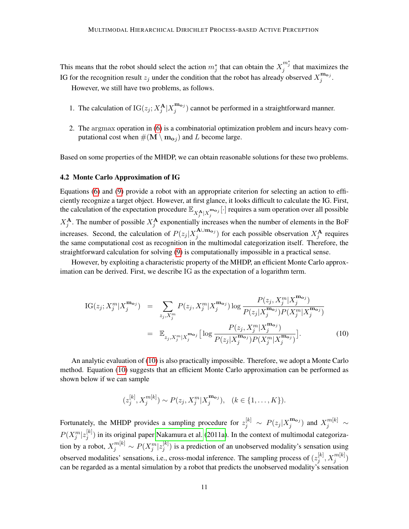This means that the robot should select the action  $m_j^*$  that can obtain the  $X_j^{m_j^*}$  that maximizes the IG for the recognition result  $z_j$  under the condition that the robot has already observed  $X_j^{\mathbf{m}_{\mathbf{o}j}}$  $\frac{\mathbf{m_{o}}_{j}}{j}$ .

However, we still have two problems, as follows.

- 1. The calculation of  $IG(z_j; X_j^{\mathbf{A}} | X_j^{\mathbf{m}_{\mathbf{o}j}})$  $j_j^{\text{mag}}$ ) cannot be performed in a straightforward manner.
- 2. The argmax operation in [\(6\)](#page-9-0) is a combinatorial optimization problem and incurs heavy computational cost when  $\#(\mathbf{M} \setminus \mathbf{m}_{oj})$  and L become large.

Based on some properties of the MHDP, we can obtain reasonable solutions for these two problems.

## 4.2 Monte Carlo Approximation of IG

Equations [\(6\)](#page-9-0) and [\(9\)](#page-9-2) provide a robot with an appropriate criterion for selecting an action to efficiently recognize a target object. However, at first glance, it looks difficult to calculate the IG. First, the calculation of the expectation procedure  $\mathbb{E}_{X_j^{\mathbf{A}}|X_j^{\mathbf{m}_{\mathbf{o}_j}}}[\cdot]$  requires a sum operation over all possible  $X_j^{\mathbf{A}}$ . The number of possible  $X_j^{\mathbf{A}}$  exponentially increases when the number of elements in the BoF increases. Second, the calculation of  $P(z_j | X_j^{\mathbf{A} \cup \mathbf{m}_{\mathbf{o} j}})$  $j_j^{\mathbf{A}\cup\mathbf{m}_{\mathbf{o}j}}$  for each possible observation  $X_j^{\mathbf{A}}$  requires the same computational cost as recognition in the multimodal categorization itself. Therefore, the straightforward calculation for solving [\(9\)](#page-9-2) is computationally impossible in a practical sense.

However, by exploiting a characteristic property of the MHDP, an efficient Monte Carlo approximation can be derived. First, we describe IG as the expectation of a logarithm term.

<span id="page-10-0"></span>IG(z<sub>j</sub>; 
$$
X_j^m | X_j^{\mathbf{m}_{\mathbf{o}_j}})
$$
 =  $\sum_{z_j, X_j^m} P(z_j, X_j^m | X_j^{\mathbf{m}_{\mathbf{o}_j}})$ log  $\frac{P(z_j, X_j^m | X_j^{\mathbf{m}_{\mathbf{o}_j}})}{P(z_j | X_j^{\mathbf{m}_{\mathbf{o}_j}}) P(X_j^m | X_j^{\mathbf{m}_{\mathbf{o}_j}})}$   
 =  $\mathbb{E}_{z_j, X_j^m | X_j^{\mathbf{m}_{\mathbf{o}_j}}}$  [log  $\frac{P(z_j, X_j^m | X_j^{\mathbf{m}_{\mathbf{o}_j}})}{P(z_j | X_j^{\mathbf{m}_{\mathbf{o}_j}}) P(X_j^m | X_j^{\mathbf{m}_{\mathbf{o}_j}})}$ ]. (10)

An analytic evaluation of [\(10\)](#page-10-0) is also practically impossible. Therefore, we adopt a Monte Carlo method. Equation [\(10\)](#page-10-0) suggests that an efficient Monte Carlo approximation can be performed as shown below if we can sample

<span id="page-10-1"></span>
$$
(z_j^{[k]}, X_j^{m[k]}) \sim P(z_j, X_j^{m}|X_j^{\mathbf{m}_{\mathbf{o}_j}}), \quad (k \in \{1, ..., K\}).
$$

Fortunately, the MHDP provides a sampling procedure for  $z_j^{[k]} \sim P(z_j|X_j^{\mathbf{m}_{\mathbf{o}_j}})$  $\binom{\mathbf{m_{o}}_j}{j}$  and  $X_j^{m[k]} \sim$  $P(X^m_j|z^{[k]}_j$  $j^{[k]}$ ) in its original paper [Nakamura et al.](#page-29-2) [\(2011a\)](#page-29-2). In the context of multimodal categorization by a robot,  $X_j^{m[k]} \sim P(X_j^m | z_j^{[k]})$  $j^{[k]}$ ) is a prediction of an unobserved modality's sensation using observed modalities' sensations, i.e., cross-modal inference. The sampling process of  $(z_i^{[k]})$  $_{j}^{[k]},X_{j}^{m[k]})$ can be regarded as a mental simulation by a robot that predicts the unobserved modality's sensation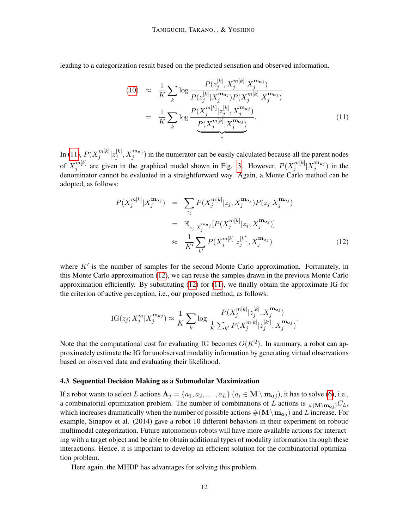leading to a categorization result based on the predicted sensation and observed information.

$$
(10) \approx \frac{1}{K} \sum_{k} \log \frac{P(z_j^{[k]}, X_j^{m[k]} | X_j^{\mathbf{m}_{\mathbf{o}_j}})}{P(z_j^{[k]} | X_j^{\mathbf{m}_{\mathbf{o}_j}}) P(X_j^{m[k]} | X_j^{\mathbf{m}_{\mathbf{o}_j}})}
$$

$$
= \frac{1}{K} \sum_{k} \log \frac{P(X_j^{m[k]} | z_j^{[k]}, X_j^{\mathbf{m}_{\mathbf{o}_j}})}{P(X_j^{m[k]} | X_j^{\mathbf{m}_{\mathbf{o}_j}})}.
$$
(11)

In [\(11\)](#page-10-1),  $P(X_i^{m[k]})$  $\frac{m[k]}{j} | z_j^{[k]}$  $j^{[k]}$ ,  $X_j^{\mathbf{m}_{\mathbf{o}j}}$  in the numerator can be easily calculated because all the parent nodes of  $X_i^{m[k]}$  $j^{m[k]}$  are given in the graphical model shown in Fig. [3.](#page-6-0) However,  $P(X_j^{m[k]})$  $\int\limits_j^{m[k]} |X_j^{{\bf m_o}_j}|$  $j^{n_{\mathbf{p}_j}}$ ) in the denominator cannot be evaluated in a straightforward way. Again, a Monte Carlo method can be adopted, as follows:

<span id="page-11-0"></span>
$$
P(X_j^{\mathbf{m}[k]} | X_j^{\mathbf{m}_{\mathbf{o}j}}) = \sum_{z_j} P(X_j^{\mathbf{m}[k]} | z_j, X_j^{\mathbf{m}_{\mathbf{o}j}}) P(z_j | X_j^{\mathbf{m}_{\mathbf{o}j}})
$$
  

$$
= \mathbb{E}_{z_j | X_j^{\mathbf{m}_{\mathbf{o}j}}}[P(X_j^{\mathbf{m}[k]} | z_j, X_j^{\mathbf{m}_{\mathbf{o}j}})]
$$
  

$$
\approx \frac{1}{K'} \sum_{k'} P(X_j^{\mathbf{m}[k]} | z_j^{[k]}, X_j^{\mathbf{m}_{\mathbf{o}j}})
$$
(12)

where  $K'$  is the number of samples for the second Monte Carlo approximation. Fortunately, in this Monte Carlo approximation [\(12\)](#page-11-0), we can reuse the samples drawn in the previous Monte Carlo approximation efficiently. By substituting [\(12\)](#page-11-0) for [\(11\)](#page-10-1), we finally obtain the approximate IG for the criterion of active perception, i.e., our proposed method, as follows:

IG(z<sub>j</sub>; 
$$
X_j^m | X_j^{\mathbf{m}_{\mathbf{o}_j}}) \approx \frac{1}{K} \sum_k \log \frac{P(X_j^{m[k]} | z_j^{[k]}, X_j^{\mathbf{m}_{\mathbf{o}_j}})}{\frac{1}{K} \sum_{k'} P(X_j^{m[k]} | z_j^{[k']}, X_j^{\mathbf{m}_{\mathbf{o}_j}})}.
$$

Note that the computational cost for evaluating IG becomes  $O(K^2)$ . In summary, a robot can approximately estimate the IG for unobserved modality information by generating virtual observations based on observed data and evaluating their likelihood.

#### 4.3 Sequential Decision Making as a Submodular Maximization

If a robot wants to select L actions  $A_j = \{a_1, a_2, \ldots, a_L\}$   $(a_i \in M \setminus m_{oj})$ , it has to solve [\(6\)](#page-9-0), i.e., a combinatorial optimization problem. The number of combinations of L actions is  $\mu_{(M\setminus m_{Q})}C_L$ , which increases dramatically when the number of possible actions  $\#({\bf M}\setminus {\bf m}_{\bf o_j})$  and  $L$  increase. For example, Sinapov et al. (2014) gave a robot 10 different behaviors in their experiment on robotic multimodal categorization. Future autonomous robots will have more available actions for interacting with a target object and be able to obtain additional types of modality information through these interactions. Hence, it is important to develop an efficient solution for the combinatorial optimization problem.

<span id="page-11-1"></span>Here again, the MHDP has advantages for solving this problem.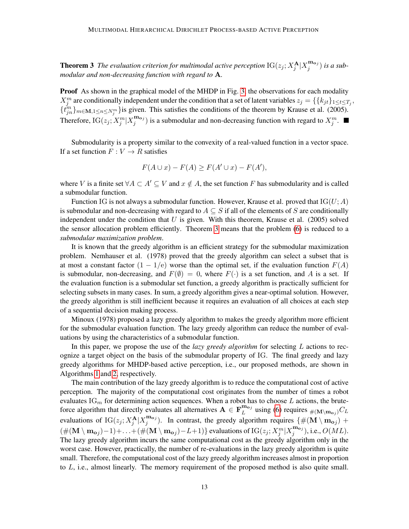**Theorem 3** The evaluation criterion for multimodal active perception  $IG(z_j; X_j^{\mathbf{A}} | X_j^{\mathbf{m}_{\mathbf{o}j}})$  $j^{(11,0)}$  *is a submodular and non-decreasing function with regard to* A*.*

**Proof** As shown in the graphical model of the MHDP in Fig. [3,](#page-6-0) the observations for each modality  $X_j^m$  are conditionally independent under the condition that a set of latent variables  $z_j = \{\{k_{jt}\}_{1 \leq t \leq T_j},\}$  $\{t_{jn}^{m}\}_{m\in\mathbf{M},1\leq n\leq N_{j}^{m}}\}$  is given. This satisfies the conditions of the theorem by Krause et al. (2005). Therefore,  $IG(z_j; X_j^m | X_j^{\mathbf{m}_{\mathbf{o}_j}})$  $j^{(m_{o_j})}$  is a submodular and non-decreasing function with regard to  $X_j^m$ .

Submodularity is a property similar to the convexity of a real-valued function in a vector space. If a set function  $F: V \to R$  satisfies

$$
F(A \cup x) - F(A) \ge F(A' \cup x) - F(A'),
$$

where V is a finite set  $\forall A \subset A' \subseteq V$  and  $x \notin A$ , the set function F has submodularity and is called a submodular function.

Function IG is not always a submodular function. However, Krause et al. proved that  $IG(U; A)$ is submodular and non-decreasing with regard to  $A \subseteq S$  if all of the elements of S are conditionally independent under the condition that  $U$  is given. With this theorem, Krause et al. (2005) solved the sensor allocation problem efficiently. Theorem [3](#page-11-1) means that the problem [\(6\)](#page-9-0) is reduced to a *submodular maximization problem*.

It is known that the greedy algorithm is an efficient strategy for the submodular maximization problem. Nemhauser et al. (1978) proved that the greedy algorithm can select a subset that is at most a constant factor  $(1 - 1/e)$  worse than the optimal set, if the evaluation function  $F(A)$ is submodular, non-decreasing, and  $F(\emptyset) = 0$ , where  $F(\cdot)$  is a set function, and A is a set. If the evaluation function is a submodular set function, a greedy algorithm is practically sufficient for selecting subsets in many cases. In sum, a greedy algorithm gives a near-optimal solution. However, the greedy algorithm is still inefficient because it requires an evaluation of all choices at each step of a sequential decision making process.

Minoux (1978) proposed a lazy greedy algorithm to makes the greedy algorithm more efficient for the submodular evaluation function. The lazy greedy algorithm can reduce the number of evaluations by using the characteristics of a submodular function.

In this paper, we propose the use of the *lazy greedy algorithm* for selecting L actions to recognize a target object on the basis of the submodular property of IG. The final greedy and lazy greedy algorithms for MHDP-based active perception, i.e., our proposed methods, are shown in Algorithms [1](#page-13-1) and [2,](#page-14-0) respectively.

The main contribution of the lazy greedy algorithm is to reduce the computational cost of active perception. The majority of the computational cost originates from the number of times a robot evaluates  $\text{IG}_m$  for determining action sequences. When a robot has to choose L actions, the bruteforce algorithm that directly evaluates all alternatives  $\mathbf{A} \in \mathbf{F}_{L}^{\mathbf{m}_{oj}}$  $\frac{m_{\mathbf{o}j}}{L}$  using [\(6\)](#page-9-0) requires  $\#(\mathbf{M}\setminus \mathbf{m}_{\mathbf{o}j})C_L$ evaluations of  $IG(z_j; X_j^{\mathbf{A}} | X_j^{\mathbf{m}_{\mathbf{o}_j}})$  $j^{(m_0 j)}$ . In contrast, the greedy algorithm requires  $\{\#(\mathbf{M} \setminus \mathbf{m_0}_j) + \mathbf{m_0}_j\}$  $(\#(\mathbf{M}\setminus \mathbf{m_{o_j}})-1)+...+(\#(\mathbf{M}\setminus \mathbf{m_{o_j}})-L+1)\}$  evaluations of IG $(z_j;X_j^m|X_j^{\mathbf{m_{o_j}}})$  $j^{(\text{m0})}$ , i.e.,  $O(ML)$ . The lazy greedy algorithm incurs the same computational cost as the greedy algorithm only in the worst case. However, practically, the number of re-evaluations in the lazy greedy algorithm is quite small. Therefore, the computational cost of the lazy greedy algorithm increases almost in proportion to  $L$ , i.e., almost linearly. The memory requirement of the proposed method is also quite small.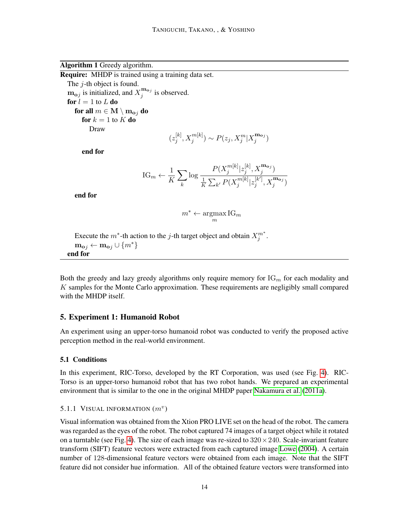<span id="page-13-1"></span>Algorithm 1 Greedy algorithm.

Require: MHDP is trained using a training data set. The j-th object is found.  $\mathbf{m_{o}}_{j}$  is initialized, and  $X_{j}^{\mathbf{m_{o}}_{j}}$  $j^{m_{o_j}}$  is observed. for  $l = 1$  to  $L$  do for all  $m \in M \setminus \mathbf{m}_{\mathbf{o}j}$  do for  $k = 1$  to  $K$  do Draw

$$
(z_j^{[k]}, X_j^{m[k]}) \sim P(z_j, X_j^{m}|X_j^{\mathbf{m}_{\mathbf{o}_j}})
$$

end for

IG<sub>m</sub> 
$$
\leftarrow \frac{1}{K} \sum_{k} \log \frac{P(X_j^{m[k]} | z_j^{[k]}, X_j^{\mathbf{m}_{oj}})}{\frac{1}{K} \sum_{k'} P(X_j^{m[k]} | z_j^{[k']}, X_j^{\mathbf{m}_{oj}})}
$$

end for

$$
m^* \leftarrow \operatorname*{argmax}_m \mathrm{IG}_m
$$

Execute the  $m^*$ -th action to the j-th target object and obtain  $X_j^{m^*}$ .  $\mathbf{m_{o}}_{i} \leftarrow \mathbf{m_{o}}_{i} \cup \{m^{*}\}\$ end for

Both the greedy and lazy greedy algorithms only require memory for  $\text{IG}_m$  for each modality and K samples for the Monte Carlo approximation. These requirements are negligibly small compared with the MHDP itself.

# <span id="page-13-0"></span>5. Experiment 1: Humanoid Robot

An experiment using an upper-torso humanoid robot was conducted to verify the proposed active perception method in the real-world environment.

# 5.1 Conditions

In this experiment, RIC-Torso, developed by the RT Corporation, was used (see Fig. [4\)](#page-15-0). RIC-Torso is an upper-torso humanoid robot that has two robot hands. We prepared an experimental environment that is similar to the one in the original MHDP paper [Nakamura et al.](#page-29-2) [\(2011a\)](#page-29-2).

# 5.1.1 VISUAL INFORMATION  $(m^v)$

Visual information was obtained from the Xtion PRO LIVE set on the head of the robot. The camera was regarded as the eyes of the robot. The robot captured 74 images of a target object while it rotated on a turntable (see Fig. [4\)](#page-15-0). The size of each image was re-sized to  $320 \times 240$ . Scale-invariant feature transform (SIFT) feature vectors were extracted from each captured image [Lowe](#page-29-10) [\(2004\)](#page-29-10). A certain number of 128-dimensional feature vectors were obtained from each image. Note that the SIFT feature did not consider hue information. All of the obtained feature vectors were transformed into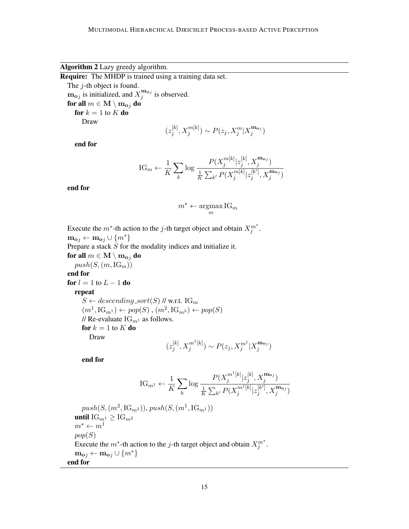<span id="page-14-0"></span>Algorithm 2 Lazy greedy algorithm.

Require: The MHDP is trained using a training data set.

The *j*-th object is found.  $\mathbf{m_{o}}_{j}$  is initialized, and  $X_{j}^{\mathbf{m_{o}}_{j}}$  $j^{m_{\mathbf{o}j}}$  is observed. for all  $m \in \mathbf{M} \setminus \mathbf{m}_{\mathbf{o}i}$  do for  $k = 1$  to  $K$  do Draw

$$
(z_j^{[k]},X_j^{m[k]}) \sim P(z_j,X_j^m|X_j^{\mathbf{m}_{\mathbf{o}j}})
$$

end for

IG<sub>m</sub> 
$$
\leftarrow \frac{1}{K} \sum_{k} \log \frac{P(X_j^{m[k]} | z_j^{[k]}, X_j^{m_{o_j}})}{\frac{1}{K} \sum_{k'} P(X_j^{m[k]} | z_j^{[k']}, X_j^{m_{o_j}})}
$$

end for

$$
m^* \leftarrow \operatorname*{argmax}_m \operatorname{IG}_m
$$

Execute the  $m^*$ -th action to the *j*-th target object and obtain  $X_j^{m^*}$ .  $\mathbf{m_{oj}} \leftarrow \mathbf{m_{oj}} \cup \{m^*\}$ Prepare a stack S for the modality indices and initialize it. for all  $m \in \mathbf{M} \setminus \mathbf{m}_{o}$  do  $push(S,(m,IG_m))$ end for for  $l = 1$  to  $L - 1$  do repeat  $S \leftarrow descending.sort(S)$  // w.r.t. IG<sub>m</sub>  $(m^1, \text{IG}_{m^1}) \leftarrow pop(S)$ ,  $(m^2, \text{IG}_{m^2}) \leftarrow pop(S)$ // Re-evaluate  $IG_{m^1}$  as follows. for  $k = 1$  to  $K$  do

Draw

$$
(z_j^{[k]}, X_j^{m^1[k]}) \sim P(z_j, X_j^{m^1}|X_j^{\mathbf{m}_{\mathbf{o}j}})
$$

end for

IG<sub>m1</sub> 
$$
\leftarrow \frac{1}{K} \sum_{k} \log \frac{P(X_j^{m^1[k]} | z_j^{[k]}, X_j^{\mathbf{m}_{\mathbf{o}_j}})}{\frac{1}{K} \sum_{k'} P(X_j^{m^1[k]} | z_j^{[k']}, X_j^{\mathbf{m}_{\mathbf{o}_j}})}
$$

 $push(S, (m^2, \text{IG}_{m^2}))$ ,  $push(S, (m^1, \text{IG}_{m^1}))$ until  $\text{IG}_{m^1} \geq \text{IG}_{m^2}$  $m^* \leftarrow m^1$  $pop(S)$ Execute the  $m^*$ -th action to the j-th target object and obtain  $X_j^{m^*}$ .  $\mathbf{m_{o}}_j \leftarrow \mathbf{m_{o}}_j \cup \{m^*\}$ end for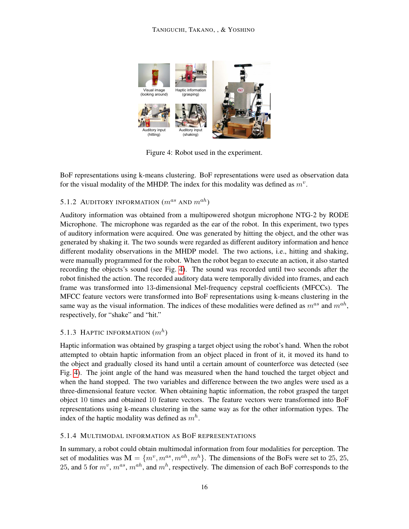<span id="page-15-0"></span>

Figure 4: Robot used in the experiment.

BoF representations using k-means clustering. BoF representations were used as observation data for the visual modality of the MHDP. The index for this modality was defined as  $m^v$ .

# 5.1.2 AUDITORY INFORMATION  $(m^{as}$  AND  $m^{ah})$

Auditory information was obtained from a multipowered shotgun microphone NTG-2 by RODE Microphone. The microphone was regarded as the ear of the robot. In this experiment, two types of auditory information were acquired. One was generated by hitting the object, and the other was generated by shaking it. The two sounds were regarded as different auditory information and hence different modality observations in the MHDP model. The two actions, i.e., hitting and shaking, were manually programmed for the robot. When the robot began to execute an action, it also started recording the objects's sound (see Fig. [4\)](#page-15-0). The sound was recorded until two seconds after the robot finished the action. The recorded auditory data were temporally divided into frames, and each frame was transformed into 13-dimensional Mel-frequency cepstral coefficients (MFCCs). The MFCC feature vectors were transformed into BoF representations using k-means clustering in the same way as the visual information. The indices of these modalities were defined as  $m^{as}$  and  $m^{ah}$ , respectively, for "shake" and "hit."

# 5.1.3 HAPTIC INFORMATION  $(m^h)$

Haptic information was obtained by grasping a target object using the robot's hand. When the robot attempted to obtain haptic information from an object placed in front of it, it moved its hand to the object and gradually closed its hand until a certain amount of counterforce was detected (see Fig. [4\)](#page-15-0). The joint angle of the hand was measured when the hand touched the target object and when the hand stopped. The two variables and difference between the two angles were used as a three-dimensional feature vector. When obtaining haptic information, the robot grasped the target object 10 times and obtained 10 feature vectors. The feature vectors were transformed into BoF representations using k-means clustering in the same way as for the other information types. The index of the haptic modality was defined as  $m<sup>h</sup>$ .

# 5.1.4 MULTIMODAL INFORMATION AS BOF REPRESENTATIONS

In summary, a robot could obtain multimodal information from four modalities for perception. The set of modalities was  $\mathbf{M} = \{m^v, m^{as}, m^{ah}, m^h\}$ . The dimensions of the BoFs were set to 25, 25, 25, and 5 for  $m^v$ ,  $m^{as}$ ,  $m^{ah}$ , and  $m^h$ , respectively. The dimension of each BoF corresponds to the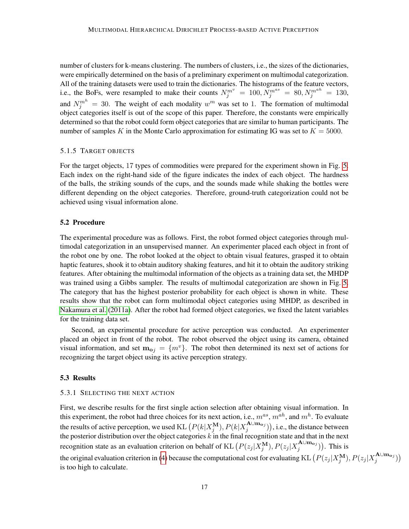number of clusters for k-means clustering. The numbers of clusters, i.e., the sizes of the dictionaries, were empirically determined on the basis of a preliminary experiment on multimodal categorization. All of the training datasets were used to train the dictionaries. The histograms of the feature vectors, i.e., the BoFs, were resampled to make their counts  $N_j^{m^v} = 100, N_j^{m^{as}} = 80, N_j^{m^{ab}} = 130$ , and  $N_j^{m^h} = 30$ . The weight of each modality  $w^m$  was set to 1. The formation of multimodal object categories itself is out of the scope of this paper. Therefore, the constants were empirically determined so that the robot could form object categories that are similar to human participants. The number of samples K in the Monte Carlo approximation for estimating IG was set to  $K = 5000$ .

## 5.1.5 TARGET OBJECTS

For the target objects, 17 types of commodities were prepared for the experiment shown in Fig. [5.](#page-17-0) Each index on the right-hand side of the figure indicates the index of each object. The hardness of the balls, the striking sounds of the cups, and the sounds made while shaking the bottles were different depending on the object categories. Therefore, ground-truth categorization could not be achieved using visual information alone.

#### 5.2 Procedure

The experimental procedure was as follows. First, the robot formed object categories through multimodal categorization in an unsupervised manner. An experimenter placed each object in front of the robot one by one. The robot looked at the object to obtain visual features, grasped it to obtain haptic features, shook it to obtain auditory shaking features, and hit it to obtain the auditory striking features. After obtaining the multimodal information of the objects as a training data set, the MHDP was trained using a Gibbs sampler. The results of multimodal categorization are shown in Fig. [5.](#page-17-0) The category that has the highest posterior probability for each object is shown in white. These results show that the robot can form multimodal object categories using MHDP, as described in [Nakamura et al.](#page-29-2) [\(2011a\)](#page-29-2). After the robot had formed object categories, we fixed the latent variables for the training data set.

Second, an experimental procedure for active perception was conducted. An experimenter placed an object in front of the robot. The robot observed the object using its camera, obtained visual information, and set  $m_{oj} = \{m^v\}$ . The robot then determined its next set of actions for recognizing the target object using its active perception strategy.

## 5.3 Results

## 5.3.1 SELECTING THE NEXT ACTION

First, we describe results for the first single action selection after obtaining visual information. In this experiment, the robot had three choices for its next action, i.e.,  $m^{as}$ ,  $m^{ah}$ , and  $m^h$ . To evaluate the results of active perception, we used KL  $\left( P(k|X_{j}^{\mathbf{M}}), P(k|X_{j}^{\mathbf{A}\cup \mathbf{m_{o}}j}\right)$  ${j<sub>j</sub>}}$  (h), i.e., the distance between the posterior distribution over the object categories  $k$  in the final recognition state and that in the next recognition state as an evaluation criterion on behalf of KL  $(P(z_j | X_j^M), P(z_j | X_j^{A \cup m_{o,j}}))$  $j^{\mathbf{A}\cup\mathbf{m}_{\mathbf{o}j}})$ ). This is the original evaluation criterion in [\(4\)](#page-8-1) because the computational cost for evaluating KL  $(P(z_j | X_j^M), P(z_j | X_j^{A\cup m_{o_j}}))$  $j^{\mathbf{A}\cup\mathbf{m}_{\mathbf{o}j}})\big)$ is too high to calculate.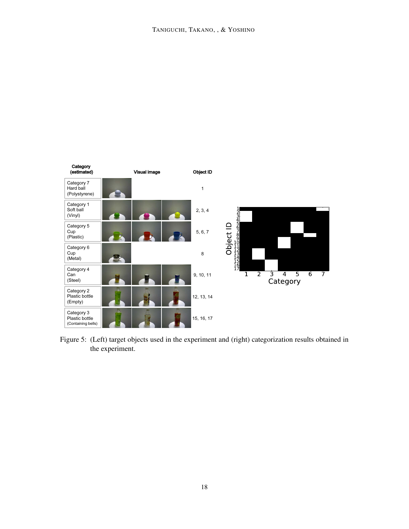<span id="page-17-0"></span>

Figure 5: (Left) target objects used in the experiment and (right) categorization results obtained in the experiment.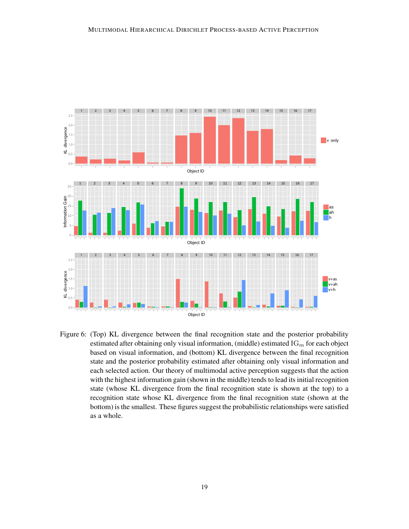

<span id="page-18-0"></span>Figure 6: (Top) KL divergence between the final recognition state and the posterior probability estimated after obtaining only visual information, (middle) estimated  $IG<sub>m</sub>$  for each object based on visual information, and (bottom) KL divergence between the final recognition state and the posterior probability estimated after obtaining only visual information and each selected action. Our theory of multimodal active perception suggests that the action with the highest information gain (shown in the middle) tends to lead its initial recognition state (whose KL divergence from the final recognition state is shown at the top) to a recognition state whose KL divergence from the final recognition state (shown at the bottom) is the smallest. These figures suggest the probabilistic relationships were satisfied as a whole.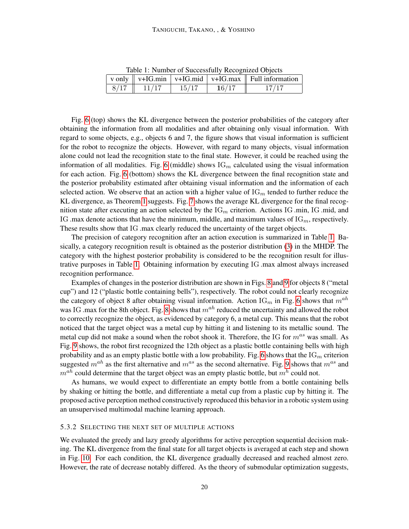| Table 1. INDITIOUS OF SUCCESSIONS INCOGNIZED ODJUCES |       |       |       |                                                                                                    |
|------------------------------------------------------|-------|-------|-------|----------------------------------------------------------------------------------------------------|
|                                                      |       |       |       | v only $\parallel$ v+IG.min $\parallel$ v+IG.mid $\parallel$ v+IG.max $\parallel$ Full information |
| 8/17                                                 | 11/17 | 15/17 | 16/17 | 17/17                                                                                              |

<span id="page-19-0"></span>Table 1: Number of Successfully Recognized Objects

Fig. [6](#page-18-0) (top) shows the KL divergence between the posterior probabilities of the category after obtaining the information from all modalities and after obtaining only visual information. With regard to some objects, e.g., objects 6 and 7, the figure shows that visual information is sufficient for the robot to recognize the objects. However, with regard to many objects, visual information alone could not lead the recognition state to the final state. However, it could be reached using the information of all modalities. Fig. [6](#page-18-0) (middle) shows  $IG<sub>m</sub>$  calculated using the visual information for each action. Fig. [6](#page-18-0) (bottom) shows the KL divergence between the final recognition state and the posterior probability estimated after obtaining visual information and the information of each selected action. We observe that an action with a higher value of  $\mathrm{IG}_m$  tended to further reduce the KL divergence, as Theorem [1](#page-9-1) suggests. Fig. [7](#page-20-0) shows the average KL divergence for the final recognition state after executing an action selected by the  $IG<sub>m</sub>$  criterion. Actions IG .min, IG .mid, and IG .max denote actions that have the minimum, middle, and maximum values of  $\text{IG}_m$ , respectively. These results show that IG .max clearly reduced the uncertainty of the target objects.

The precision of category recognition after an action execution is summarized in Table [1.](#page-19-0) Basically, a category recognition result is obtained as the posterior distribution [\(3\)](#page-7-1) in the MHDP. The category with the highest posterior probability is considered to be the recognition result for illustrative purposes in Table [1.](#page-19-0) Obtaining information by executing IG .max almost always increased recognition performance.

Examples of changes in the posterior distribution are shown in Figs. [8](#page-20-1) and [9](#page-20-2) for objects 8 ("metal cup") and 12 ("plastic bottle containing bells"), respectively. The robot could not clearly recognize the category of object 8 after obtaining visual information. Action  $\text{IG}_m$  in Fig. [6](#page-18-0) shows that  $m^{ah}$ was IG .max for the [8](#page-20-1)th object. Fig. 8 shows that  $m^{ah}$  reduced the uncertainty and allowed the robot to correctly recognize the object, as evidenced by category 6, a metal cup. This means that the robot noticed that the target object was a metal cup by hitting it and listening to its metallic sound. The metal cup did not make a sound when the robot shook it. Therefore, the IG for  $m^{as}$  was small. As Fig. [9](#page-20-2) shows, the robot first recognized the 12th object as a plastic bottle containing bells with high probability and as an empty plastic bottle with a low probability. Fig. [6](#page-18-0) shows that the  $\text{IG}_m$  criterion suggested  $m^{ah}$  as the first alternative and  $m^{as}$  as the second alternative. Fig. [9](#page-20-2) shows that  $m^{as}$  and  $m^{ah}$  could determine that the target object was an empty plastic bottle, but  $m^h$  could not.

As humans, we would expect to differentiate an empty bottle from a bottle containing bells by shaking or hitting the bottle, and differentiate a metal cup from a plastic cup by hitting it. The proposed active perception method constructively reproduced this behavior in a robotic system using an unsupervised multimodal machine learning approach.

## 5.3.2 SELECTING THE NEXT SET OF MULTIPLE ACTIONS

We evaluated the greedy and lazy greedy algorithms for active perception sequential decision making. The KL divergence from the final state for all target objects is averaged at each step and shown in Fig. [10.](#page-21-0) For each condition, the KL divergence gradually decreased and reached almost zero. However, the rate of decrease notably differed. As the theory of submodular optimization suggests,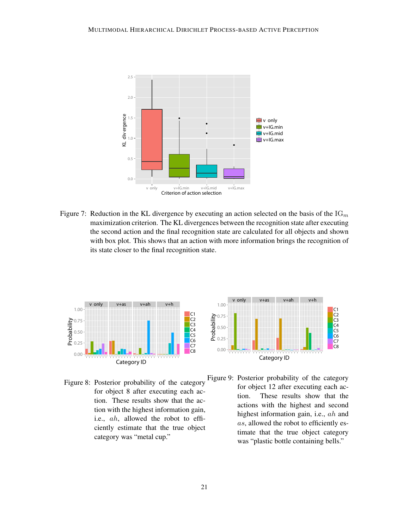

<span id="page-20-0"></span>Figure 7: Reduction in the KL divergence by executing an action selected on the basis of the  $\text{IG}_m$ maximization criterion. The KL divergences between the recognition state after executing the second action and the final recognition state are calculated for all objects and shown with box plot. This shows that an action with more information brings the recognition of its state closer to the final recognition state.



<span id="page-20-1"></span>Figure 8: Posterior probability of the category for object 8 after executing each action. These results show that the action with the highest information gain, i.e., ah, allowed the robot to efficiently estimate that the true object category was "metal cup."



<span id="page-20-2"></span>Figure 9: Posterior probability of the category for object 12 after executing each action. These results show that the actions with the highest and second highest information gain, i.e., ah and as, allowed the robot to efficiently estimate that the true object category was "plastic bottle containing bells."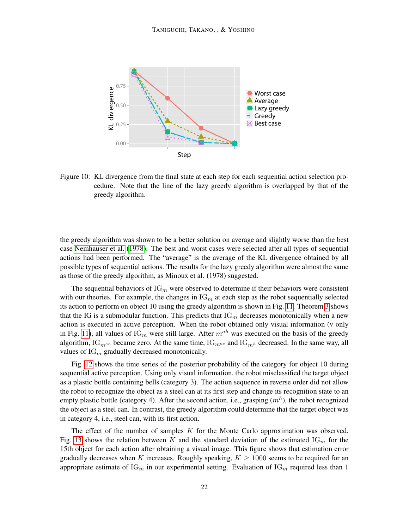

<span id="page-21-0"></span>Figure 10: KL divergence from the final state at each step for each sequential action selection procedure. Note that the line of the lazy greedy algorithm is overlapped by that of the greedy algorithm.

the greedy algorithm was shown to be a better solution on average and slightly worse than the best case [Nemhauser et al.](#page-30-10) [\(1978\)](#page-30-10). The best and worst cases were selected after all types of sequential actions had been performed. The "average" is the average of the KL divergence obtained by all possible types of sequential actions. The results for the lazy greedy algorithm were almost the same as those of the greedy algorithm, as Minoux et al. (1978) suggested.

The sequential behaviors of  $IG<sub>m</sub>$  were observed to determine if their behaviors were consistent with our theories. For example, the changes in  $\text{IG}_m$  at each step as the robot sequentially selected its action to perform on object 10 using the greedy algorithm is shown in Fig. [11.](#page-22-1) Theorem [3](#page-11-1) shows that the IG is a submodular function. This predicts that  $IG<sub>m</sub>$  decreases monotonically when a new action is executed in active perception. When the robot obtained only visual information (v only in Fig. [11\)](#page-22-1), all values of  $IG_m$  were still large. After  $m^{ah}$  was executed on the basis of the greedy algorithm, IG<sub>mah</sub> became zero. At the same time, IG<sub>mas</sub> and IG<sub>mh</sub> decreased. In the same way, all values of  $IG<sub>m</sub>$  gradually decreased monotonically.

Fig. [12](#page-22-2) shows the time series of the posterior probability of the category for object 10 during sequential active perception. Using only visual information, the robot misclassified the target object as a plastic bottle containing bells (category 3). The action sequence in reverse order did not allow the robot to recognize the object as a steel can at its first step and change its recognition state to an empty plastic bottle (category 4). After the second action, i.e., grasping  $(m<sup>h</sup>)$ , the robot recognized the object as a steel can. In contrast, the greedy algorithm could determine that the target object was in category 4, i.e., steel can, with its first action.

The effect of the number of samples K for the Monte Carlo approximation was observed. Fig. [13](#page-22-3) shows the relation between K and the standard deviation of the estimated  $IG_m$  for the 15th object for each action after obtaining a visual image. This figure shows that estimation error gradually decreases when K increases. Roughly speaking,  $K \geq 1000$  seems to be required for an appropriate estimate of  $IG_m$  in our experimental setting. Evaluation of  $IG_m$  required less than 1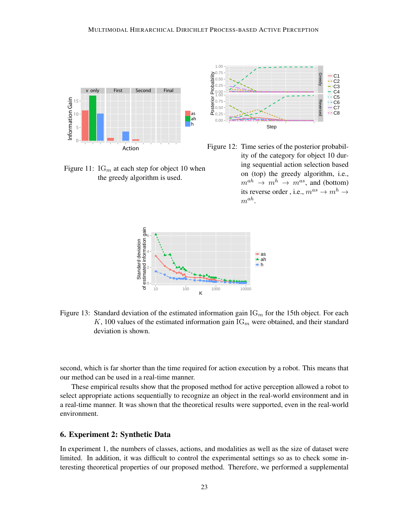

<span id="page-22-1"></span>Figure 11:  $IG<sub>m</sub>$  at each step for object 10 when the greedy algorithm is used.



<span id="page-22-2"></span>Figure 12: Time series of the posterior probability of the category for object 10 during sequential action selection based on (top) the greedy algorithm, i.e.,  $m^{ah} \rightarrow m^h \rightarrow m^{as}$ , and (bottom) its reverse order, i.e.,  $m^{as} \rightarrow m^h \rightarrow$  $m^{ah}$ .



<span id="page-22-3"></span>Figure 13: Standard deviation of the estimated information gain  $\text{IG}_m$  for the 15th object. For each K, 100 values of the estimated information gain  $\text{IG}_m$  were obtained, and their standard deviation is shown.

second, which is far shorter than the time required for action execution by a robot. This means that our method can be used in a real-time manner.

These empirical results show that the proposed method for active perception allowed a robot to select appropriate actions sequentially to recognize an object in the real-world environment and in a real-time manner. It was shown that the theoretical results were supported, even in the real-world environment.

# <span id="page-22-0"></span>6. Experiment 2: Synthetic Data

In experiment 1, the numbers of classes, actions, and modalities as well as the size of dataset were limited. In addition, it was difficult to control the experimental settings so as to check some interesting theoretical properties of our proposed method. Therefore, we performed a supplemental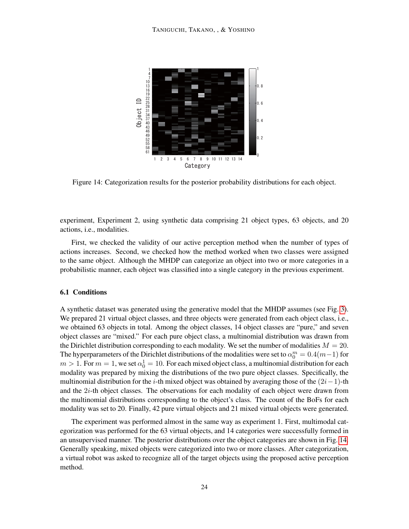

<span id="page-23-0"></span>Figure 14: Categorization results for the posterior probability distributions for each object.

experiment, Experiment 2, using synthetic data comprising 21 object types, 63 objects, and 20 actions, i.e., modalities.

First, we checked the validity of our active perception method when the number of types of actions increases. Second, we checked how the method worked when two classes were assigned to the same object. Although the MHDP can categorize an object into two or more categories in a probabilistic manner, each object was classified into a single category in the previous experiment.

## 6.1 Conditions

A synthetic dataset was generated using the generative model that the MHDP assumes (see Fig. [3\)](#page-6-0). We prepared 21 virtual object classes, and three objects were generated from each object class, i.e., we obtained 63 objects in total. Among the object classes, 14 object classes are "pure," and seven object classes are "mixed." For each pure object class, a multinomial distribution was drawn from the Dirichlet distribution corresponding to each modality. We set the number of modalities  $M = 20$ . The hyperparameters of the Dirichlet distributions of the modalities were set to  $\alpha_0^m = 0.4(m-1)$  for  $m > 1$ . For  $m = 1$ , we set  $\alpha_0^1 = 10$ . For each mixed object class, a multinomial distribution for each modality was prepared by mixing the distributions of the two pure object classes. Specifically, the multinomial distribution for the i-th mixed object was obtained by averaging those of the  $(2i-1)$ -th and the 2i-th object classes. The observations for each modality of each object were drawn from the multinomial distributions corresponding to the object's class. The count of the BoFs for each modality was set to 20. Finally, 42 pure virtual objects and 21 mixed virtual objects were generated.

The experiment was performed almost in the same way as experiment 1. First, multimodal categorization was performed for the 63 virtual objects, and 14 categories were successfully formed in an unsupervised manner. The posterior distributions over the object categories are shown in Fig. [14.](#page-23-0) Generally speaking, mixed objects were categorized into two or more classes. After categorization, a virtual robot was asked to recognize all of the target objects using the proposed active perception method.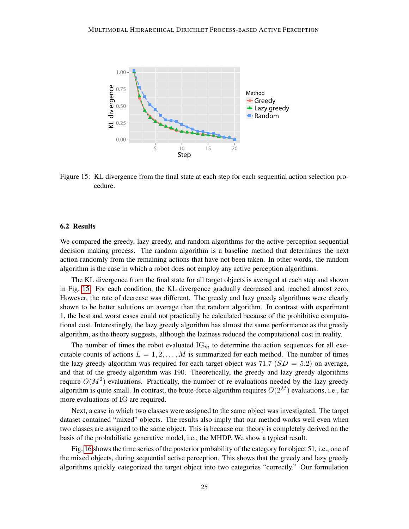

<span id="page-24-0"></span>Figure 15: KL divergence from the final state at each step for each sequential action selection procedure.

#### 6.2 Results

We compared the greedy, lazy greedy, and random algorithms for the active perception sequential decision making process. The random algorithm is a baseline method that determines the next action randomly from the remaining actions that have not been taken. In other words, the random algorithm is the case in which a robot does not employ any active perception algorithms.

The KL divergence from the final state for all target objects is averaged at each step and shown in Fig. [15.](#page-24-0) For each condition, the KL divergence gradually decreased and reached almost zero. However, the rate of decrease was different. The greedy and lazy greedy algorithms were clearly shown to be better solutions on average than the random algorithm. In contrast with experiment 1, the best and worst cases could not practically be calculated because of the prohibitive computational cost. Interestingly, the lazy greedy algorithm has almost the same performance as the greedy algorithm, as the theory suggests, although the laziness reduced the computational cost in reality.

The number of times the robot evaluated  $\text{IG}_m$  to determine the action sequences for all executable counts of actions  $L = 1, 2, \ldots, M$  is summarized for each method. The number of times the lazy greedy algorithm was required for each target object was 71.7 ( $SD = 5.2$ ) on average, and that of the greedy algorithm was 190. Theoretically, the greedy and lazy greedy algorithms require  $O(M^2)$  evaluations. Practically, the number of re-evaluations needed by the lazy greedy algorithm is quite small. In contrast, the brute-force algorithm requires  $O(2^M)$  evaluations, i.e., far more evaluations of IG are required.

Next, a case in which two classes were assigned to the same object was investigated. The target dataset contained "mixed" objects. The results also imply that our method works well even when two classes are assigned to the same object. This is because our theory is completely derived on the basis of the probabilistic generative model, i.e., the MHDP. We show a typical result.

Fig. [16](#page-25-1) shows the time series of the posterior probability of the category for object 51, i.e., one of the mixed objects, during sequential active perception. This shows that the greedy and lazy greedy algorithms quickly categorized the target object into two categories "correctly." Our formulation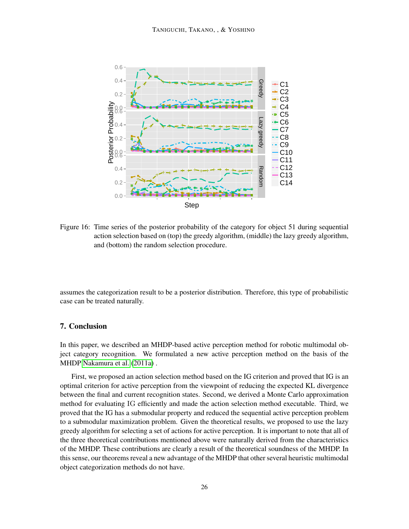

<span id="page-25-1"></span>Figure 16: Time series of the posterior probability of the category for object 51 during sequential action selection based on (top) the greedy algorithm, (middle) the lazy greedy algorithm, and (bottom) the random selection procedure.

assumes the categorization result to be a posterior distribution. Therefore, this type of probabilistic case can be treated naturally.

# <span id="page-25-0"></span>7. Conclusion

In this paper, we described an MHDP-based active perception method for robotic multimodal object category recognition. We formulated a new active perception method on the basis of the MHDP [Nakamura et al.](#page-29-2) [\(2011a\)](#page-29-2) .

First, we proposed an action selection method based on the IG criterion and proved that IG is an optimal criterion for active perception from the viewpoint of reducing the expected KL divergence between the final and current recognition states. Second, we derived a Monte Carlo approximation method for evaluating IG efficiently and made the action selection method executable. Third, we proved that the IG has a submodular property and reduced the sequential active perception problem to a submodular maximization problem. Given the theoretical results, we proposed to use the lazy greedy algorithm for selecting a set of actions for active perception. It is important to note that all of the three theoretical contributions mentioned above were naturally derived from the characteristics of the MHDP. These contributions are clearly a result of the theoretical soundness of the MHDP. In this sense, our theorems reveal a new advantage of the MHDP that other several heuristic multimodal object categorization methods do not have.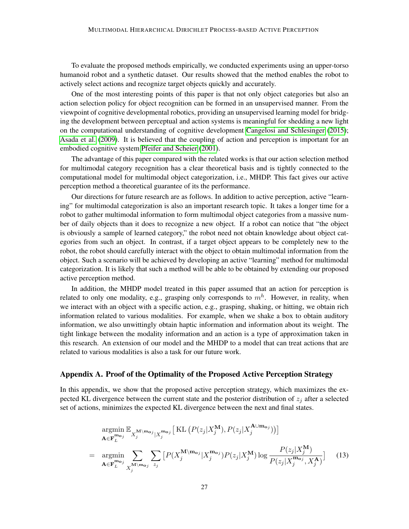To evaluate the proposed methods empirically, we conducted experiments using an upper-torso humanoid robot and a synthetic dataset. Our results showed that the method enables the robot to actively select actions and recognize target objects quickly and accurately.

One of the most interesting points of this paper is that not only object categories but also an action selection policy for object recognition can be formed in an unsupervised manner. From the viewpoint of cognitive developmental robotics, providing an unsupervised learning model for bridging the development between perceptual and action systems is meaningful for shedding a new light on the computational understanding of cognitive development [Cangelosi and Schlesinger](#page-28-7) [\(2015\)](#page-28-7); [Asada et al.](#page-28-8) [\(2009\)](#page-28-8). It is believed that the coupling of action and perception is important for an embodied cognitive system [Pfeifer and Scheier](#page-30-11) [\(2001\)](#page-30-11).

The advantage of this paper compared with the related works is that our action selection method for multimodal category recognition has a clear theoretical basis and is tightly connected to the computational model for multimodal object categorization, i.e., MHDP. This fact gives our active perception method a theoretical guarantee of its the performance.

Our directions for future research are as follows. In addition to active perception, active "learning" for multimodal categorization is also an important research topic. It takes a longer time for a robot to gather multimodal information to form multimodal object categories from a massive number of daily objects than it does to recognize a new object. If a robot can notice that "the object is obviously a sample of learned category," the robot need not obtain knowledge about object categories from such an object. In contrast, if a target object appears to be completely new to the robot, the robot should carefully interact with the object to obtain multimodal information from the object. Such a scenario will be achieved by developing an active "learning" method for multimodal categorization. It is likely that such a method will be able to be obtained by extending our proposed active perception method.

In addition, the MHDP model treated in this paper assumed that an action for perception is related to only one modality, e.g., grasping only corresponds to  $m<sup>h</sup>$ . However, in reality, when we interact with an object with a specific action, e.g., grasping, shaking, or hitting, we obtain rich information related to various modalities. For example, when we shake a box to obtain auditory information, we also unwittingly obtain haptic information and information about its weight. The tight linkage between the modality information and an action is a type of approximation taken in this research. An extension of our model and the MHDP to a model that can treat actions that are related to various modalities is also a task for our future work.

# Appendix A. Proof of the Optimality of the Proposed Active Perception Strategy

In this appendix, we show that the proposed active perception strategy, which maximizes the expected KL divergence between the current state and the posterior distribution of  $z_i$  after a selected set of actions, minimizes the expected KL divergence between the next and final states.

<span id="page-26-0"></span>
$$
\underset{\mathbf{A} \in \mathbf{F}_{L}^{\mathbf{m}_{oj}}}{\operatorname{argmin}} \mathbb{E}_{X_{j}^{\mathbf{M} \setminus \mathbf{m}_{oj}} | X_{j}^{\mathbf{m}_{oj}} \left[ \text{KL} \left( P(z_{j} | X_{j}^{\mathbf{M}}), P(z_{j} | X_{j}^{\mathbf{A} \cup \mathbf{m}_{oj}}) \right) \right] \n= \underset{\mathbf{A} \in \mathbf{F}_{L}^{\mathbf{m}_{oj}}}{\operatorname{argmin}} \sum_{X_{j}^{\mathbf{M} \setminus \mathbf{m}_{oj}} \sum_{z_{j}} \left[ P(X_{j}^{\mathbf{M} \setminus \mathbf{m}_{oj}} | X_{j}^{\mathbf{m}_{oj}}) P(z_{j} | X_{j}^{\mathbf{M}}) \log \frac{P(z_{j} | X_{j}^{\mathbf{M}})}{P(z_{j} | X_{j}^{\mathbf{m}_{oj}}, X_{j}^{\mathbf{A}})} \right] \tag{13}
$$

A∪mo<sup>j</sup>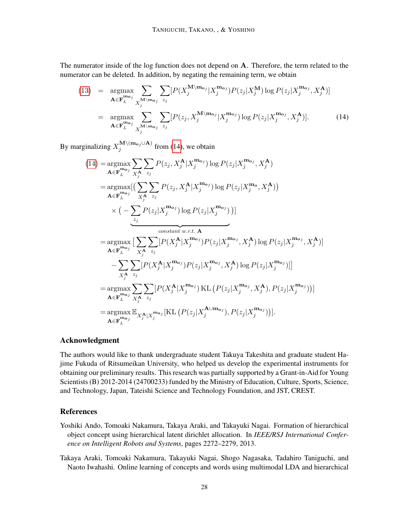The numerator inside of the log function does not depend on A. Therefore, the term related to the numerator can be deleted. In addition, by negating the remaining term, we obtain

<span id="page-27-2"></span>(13) = 
$$
\underset{\mathbf{A} \in \mathbf{F}_{L}^{\mathbf{m}_{\mathbf{o}_j}}}{\operatorname{argmax}} \sum_{X_j^{\mathbf{M} \setminus \mathbf{m}_{\mathbf{o}_j}} \sum_{z_j} [P(X_j^{\mathbf{M} \setminus \mathbf{m}_{\mathbf{o}_j}} | X_j^{\mathbf{m}_{\mathbf{o}_j}}) P(z_j | X_j^{\mathbf{M}}) \log P(z_j | X_j^{\mathbf{m}_{\mathbf{o}_j}}, X_j^{\mathbf{A}})]
$$
  
\n= 
$$
\underset{\mathbf{A} \in \mathbf{F}_{L}^{\mathbf{m}_{\mathbf{o}_j}}}{\operatorname{argmax}} \sum_{X_j^{\mathbf{M} \setminus \mathbf{m}_{\mathbf{o}_j}} \sum_{z_j} [P(z_j, X_j^{\mathbf{M} \setminus \mathbf{m}_{\mathbf{o}_j}} | X_j^{\mathbf{m}_{\mathbf{o}_j}}) \log P(z_j | X_j^{\mathbf{m}_{\mathbf{o}_j}}, X_j^{\mathbf{A}})].
$$
 (14)

By marginalizing  $X_i^{\mathbf{M}\setminus(\mathbf{m_{o_j}}\cup\mathbf{A})}$  $j_j^{\text{IM}}$  (in  $j^{\text{OM}}$ ) from [\(14\)](#page-27-2), we obtain

$$
(14) = \underset{\mathbf{A} \in \mathbf{F}_{L}^{\text{mo}_j}}{\operatorname{argmax}} \sum_{X_j^{\mathbf{A}}} \sum_{z_j} P(z_j, X_j^{\mathbf{A}} | X_j^{\mathbf{m}_{oj}}) \log P(z_j | X_j^{\mathbf{m}_{oj}}, X_j^{\mathbf{A}})
$$
\n
$$
= \underset{\mathbf{A} \in \mathbf{F}_{L}^{\text{mo}_j}}{\operatorname{argmax}} \left[ \left( \sum_{X_j^{\mathbf{A}}} \sum_{z_j} P(z_j, X_j^{\mathbf{A}} | X_j^{\mathbf{m}_{oj}}) \log P(z_j | X_j^{\mathbf{m}_{oj}}, X_j^{\mathbf{A}}) \right) \times \left( -\sum_{z_j} P(z_j | X_j^{\mathbf{m}_{oj}}) \log P(z_j | X_j^{\mathbf{m}_{oj}}) \right) \right]
$$
\n
$$
= \underset{\mathbf{A} \in \mathbf{F}_{L}^{\text{mo}_j}}{\operatorname{argmax}} \left[ \sum_{X_j^{\mathbf{A}}} \sum_{z_j} [P(X_j^{\mathbf{A}} | X_j^{\mathbf{m}_{oj}}) P(z_j | X_j^{\mathbf{m}_{oj}}, X_j^{\mathbf{A}}) \log P(z_j | X_j^{\mathbf{m}_{oj}}, X_j^{\mathbf{A}}) \right]
$$
\n
$$
- \sum_{X_j^{\mathbf{A}}} \sum_{z_j} [P(X_j^{\mathbf{A}} | X_j^{\mathbf{m}_{oj}}) P(z_j | X_j^{\mathbf{m}_{oj}}, X_j^{\mathbf{A}}) \log P(z_j | X_j^{\mathbf{m}_{oj}}) ]]
$$
\n
$$
= \underset{\mathbf{A} \in \mathbf{F}_{L}^{\text{mo}_j}}{\operatorname{argmax}} \sum_{X_j^{\mathbf{A}}} \sum_{z_j} [P(X_j^{\mathbf{A}} | X_j^{\mathbf{m}_{oj}}) \text{KL} (P(z_j | X_j^{\mathbf{m}_{oj}}, X_j^{\mathbf{A}}), P(z_j | X_j^{\mathbf{m}_{oj}})) ]
$$
\n
$$
= \underset{\mathbf{A} \in \mathbf{F}_{L}^{\text{mo}_j}}{\operatorname{argmax}} \mathbb{E}_{X_j^{\mathbf{A}} | X_j^{\mathbf{m}_{oj}}} [\text{KL} (P(z_j | X_j^{\mathbf{A} \cup \text{mo}_
$$

## Acknowledgment

The authors would like to thank undergraduate student Takuya Takeshita and graduate student Hajime Fukuda of Ritsumeikan University, who helped us develop the experimental instruments for obtaining our preliminary results. This research was partially supported by a Grant-in-Aid for Young Scientists (B) 2012-2014 (24700233) funded by the Ministry of Education, Culture, Sports, Science, and Technology, Japan, Tateishi Science and Technology Foundation, and JST, CREST.

# References

- <span id="page-27-1"></span>Yoshiki Ando, Tomoaki Nakamura, Takaya Araki, and Takayuki Nagai. Formation of hierarchical object concept using hierarchical latent dirichlet allocation. In *IEEE/RSJ International Conference on Intelligent Robots and Systems*, pages 2272–2279, 2013.
- <span id="page-27-0"></span>Takaya Araki, Tomoaki Nakamura, Takayuki Nagai, Shogo Nagasaka, Tadahiro Taniguchi, and Naoto Iwahashi. Online learning of concepts and words using multimodal LDA and hierarchical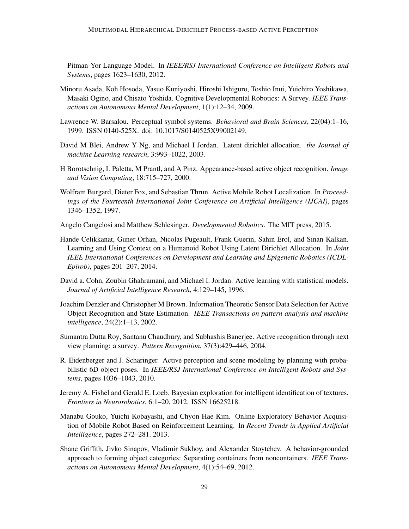Pitman-Yor Language Model. In *IEEE/RSJ International Conference on Intelligent Robots and Systems*, pages 1623–1630, 2012.

- <span id="page-28-8"></span>Minoru Asada, Koh Hosoda, Yasuo Kuniyoshi, Hiroshi Ishiguro, Toshio Inui, Yuichiro Yoshikawa, Masaki Ogino, and Chisato Yoshida. Cognitive Developmental Robotics: A Survey. *IEEE Transactions on Autonomous Mental Development*, 1(1):12–34, 2009.
- <span id="page-28-1"></span>Lawrence W. Barsalou. Perceptual symbol systems. *Behavioral and Brain Sciences*, 22(04):1–16, 1999. ISSN 0140-525X. doi: 10.1017/S0140525X99002149.
- <span id="page-28-0"></span>David M Blei, Andrew Y Ng, and Michael I Jordan. Latent dirichlet allocation. *the Journal of machine Learning research*, 3:993–1022, 2003.
- H Borotschnig, L Paletta, M Prantl, and A Pinz. Appearance-based active object recognition. *Image and Vision Computing*, 18:715–727, 2000.
- Wolfram Burgard, Dieter Fox, and Sebastian Thrun. Active Mobile Robot Localization. In *Proceedings of the Fourteenth International Joint Conference on Artificial Intelligence (IJCAI)*, pages 1346–1352, 1997.
- <span id="page-28-7"></span>Angelo Cangelosi and Matthew Schlesinger. *Developmental Robotics*. The MIT press, 2015.
- <span id="page-28-2"></span>Hande Celikkanat, Guner Orhan, Nicolas Pugeault, Frank Guerin, Sahin Erol, and Sinan Kalkan. Learning and Using Context on a Humanoid Robot Using Latent Dirichlet Allocation. In *Joint IEEE International Conferences on Development and Learning and Epigenetic Robotics (ICDL-Epirob)*, pages 201–207, 2014.
- <span id="page-28-6"></span>David a. Cohn, Zoubin Ghahramani, and Michael I. Jordan. Active learning with statistical models. *Journal of Artificial Intelligence Research*, 4:129–145, 1996.
- Joachim Denzler and Christopher M Brown. Information Theoretic Sensor Data Selection for Active Object Recognition and State Estimation. *IEEE Transactions on pattern analysis and machine intelligence*, 24(2):1–13, 2002.
- Sumantra Dutta Roy, Santanu Chaudhury, and Subhashis Banerjee. Active recognition through next view planning: a survey. *Pattern Recognition*, 37(3):429–446, 2004.
- R. Eidenberger and J. Scharinger. Active perception and scene modeling by planning with probabilistic 6D object poses. In *IEEE/RSJ International Conference on Intelligent Robots and Systems*, pages 1036–1043, 2010.
- <span id="page-28-5"></span>Jeremy A. Fishel and Gerald E. Loeb. Bayesian exploration for intelligent identification of textures. *Frontiers in Neurorobotics*, 6:1–20, 2012. ISSN 16625218.
- <span id="page-28-4"></span>Manabu Gouko, Yuichi Kobayashi, and Chyon Hae Kim. Online Exploratory Behavior Acquisition of Mobile Robot Based on Reinforcement Learning. In *Recent Trends in Applied Artificial Intelligence*, pages 272–281. 2013.
- <span id="page-28-3"></span>Shane Griffith, Jivko Sinapov, Vladimir Sukhoy, and Alexander Stoytchev. A behavior-grounded approach to forming object categories: Separating containers from noncontainers. *IEEE Transactions on Autonomous Mental Development*, 4(1):54–69, 2012.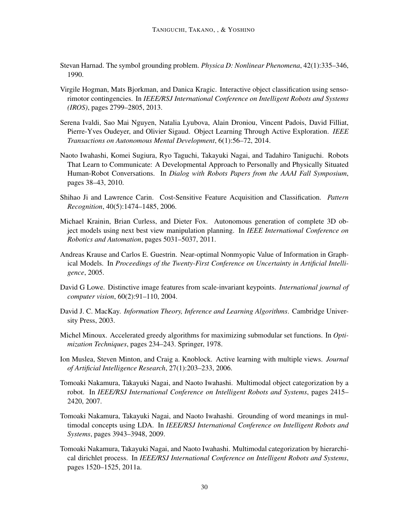- <span id="page-29-1"></span>Stevan Harnad. The symbol grounding problem. *Physica D: Nonlinear Phenomena*, 42(1):335–346, 1990.
- <span id="page-29-6"></span>Virgile Hogman, Mats Bjorkman, and Danica Kragic. Interactive object classification using sensorimotor contingencies. In *IEEE/RSJ International Conference on Intelligent Robots and Systems (IROS)*, pages 2799–2805, 2013.
- <span id="page-29-7"></span>Serena Ivaldi, Sao Mai Nguyen, Natalia Lyubova, Alain Droniou, Vincent Padois, David Filliat, Pierre-Yves Oudeyer, and Olivier Sigaud. Object Learning Through Active Exploration. *IEEE Transactions on Autonomous Mental Development*, 6(1):56–72, 2014.
- <span id="page-29-4"></span>Naoto Iwahashi, Komei Sugiura, Ryo Taguchi, Takayuki Nagai, and Tadahiro Taniguchi. Robots That Learn to Communicate: A Developmental Approach to Personally and Physically Situated Human-Robot Conversations. In *Dialog with Robots Papers from the AAAI Fall Symposium*, pages 38–43, 2010.
- <span id="page-29-5"></span>Shihao Ji and Lawrence Carin. Cost-Sensitive Feature Acquisition and Classification. *Pattern Recognition*, 40(5):1474–1485, 2006.
- Michael Krainin, Brian Curless, and Dieter Fox. Autonomous generation of complete 3D object models using next best view manipulation planning. In *IEEE International Conference on Robotics and Automation*, pages 5031–5037, 2011.
- Andreas Krause and Carlos E. Guestrin. Near-optimal Nonmyopic Value of Information in Graphical Models. In *Proceedings of the Twenty-First Conference on Uncertainty in Artificial Intelligence*, 2005.
- <span id="page-29-10"></span>David G Lowe. Distinctive image features from scale-invariant keypoints. *International journal of computer vision*, 60(2):91–110, 2004.
- <span id="page-29-9"></span>David J. C. MacKay. *Information Theory, Inference and Learning Algorithms*. Cambridge University Press, 2003.
- Michel Minoux. Accelerated greedy algorithms for maximizing submodular set functions. In *Optimization Techniques*, pages 234–243. Springer, 1978.
- <span id="page-29-8"></span>Ion Muslea, Steven Minton, and Craig a. Knoblock. Active learning with multiple views. *Journal of Artificial Intelligence Research*, 27(1):203–233, 2006.
- <span id="page-29-3"></span>Tomoaki Nakamura, Takayuki Nagai, and Naoto Iwahashi. Multimodal object categorization by a robot. In *IEEE/RSJ International Conference on Intelligent Robots and Systems*, pages 2415– 2420, 2007.
- <span id="page-29-0"></span>Tomoaki Nakamura, Takayuki Nagai, and Naoto Iwahashi. Grounding of word meanings in multimodal concepts using LDA. In *IEEE/RSJ International Conference on Intelligent Robots and Systems*, pages 3943–3948, 2009.
- <span id="page-29-2"></span>Tomoaki Nakamura, Takayuki Nagai, and Naoto Iwahashi. Multimodal categorization by hierarchical dirichlet process. In *IEEE/RSJ International Conference on Intelligent Robots and Systems*, pages 1520–1525, 2011a.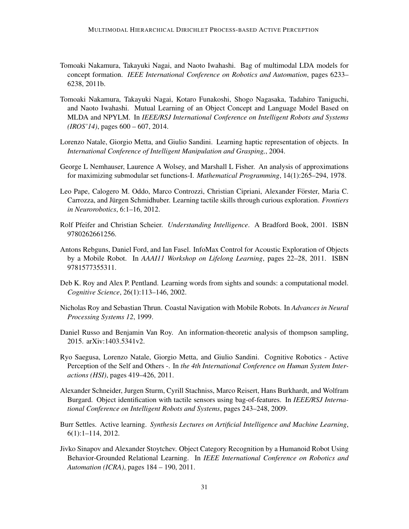- <span id="page-30-2"></span>Tomoaki Nakamura, Takayuki Nagai, and Naoto Iwahashi. Bag of multimodal LDA models for concept formation. *IEEE International Conference on Robotics and Automation*, pages 6233– 6238, 2011b.
- <span id="page-30-3"></span>Tomoaki Nakamura, Takayuki Nagai, Kotaro Funakoshi, Shogo Nagasaka, Tadahiro Taniguchi, and Naoto Iwahashi. Mutual Learning of an Object Concept and Language Model Based on MLDA and NPYLM. In *IEEE/RSJ International Conference on Intelligent Robots and Systems (IROS'14)*, pages 600 – 607, 2014.
- <span id="page-30-1"></span>Lorenzo Natale, Giorgio Metta, and Giulio Sandini. Learning haptic representation of objects. In *International Conference of Intelligent Manipulation and Grasping,*, 2004.
- <span id="page-30-10"></span>George L Nemhauser, Laurence A Wolsey, and Marshall L Fisher. An analysis of approximations for maximizing submodular set functions-I. *Mathematical Programming*, 14(1):265–294, 1978.
- <span id="page-30-7"></span>Leo Pape, Calogero M. Oddo, Marco Controzzi, Christian Cipriani, Alexander Förster, Maria C. Carrozza, and Jürgen Schmidhuber. Learning tactile skills through curious exploration. *Frontiers in Neurorobotics*, 6:1–16, 2012.
- <span id="page-30-11"></span>Rolf Pfeifer and Christian Scheier. *Understanding Intelligence*. A Bradford Book, 2001. ISBN 9780262661256.
- Antons Rebguns, Daniel Ford, and Ian Fasel. InfoMax Control for Acoustic Exploration of Objects by a Mobile Robot. In *AAAI11 Workshop on Lifelong Learning*, pages 22–28, 2011. ISBN 9781577355311.
- <span id="page-30-4"></span>Deb K. Roy and Alex P. Pentland. Learning words from sights and sounds: a computational model. *Cognitive Science*, 26(1):113–146, 2002.
- Nicholas Roy and Sebastian Thrun. Coastal Navigation with Mobile Robots. In *Advances in Neural Processing Systems 12*, 1999.
- <span id="page-30-9"></span>Daniel Russo and Benjamin Van Roy. An information-theoretic analysis of thompson sampling, 2015. arXiv:1403.5341v2.
- <span id="page-30-5"></span>Ryo Saegusa, Lorenzo Natale, Giorgio Metta, and Giulio Sandini. Cognitive Robotics - Active Perception of the Self and Others -. In *the 4th International Conference on Human System Interactions (HSI)*, pages 419–426, 2011.
- <span id="page-30-6"></span>Alexander Schneider, Jurgen Sturm, Cyrill Stachniss, Marco Reisert, Hans Burkhardt, and Wolfram Burgard. Object identification with tactile sensors using bag-of-features. In *IEEE/RSJ International Conference on Intelligent Robots and Systems*, pages 243–248, 2009.
- <span id="page-30-8"></span>Burr Settles. Active learning. *Synthesis Lectures on Artificial Intelligence and Machine Learning*, 6(1):1–114, 2012.
- <span id="page-30-0"></span>Jivko Sinapov and Alexander Stoytchev. Object Category Recognition by a Humanoid Robot Using Behavior-Grounded Relational Learning. In *IEEE International Conference on Robotics and Automation (ICRA)*, pages 184 – 190, 2011.